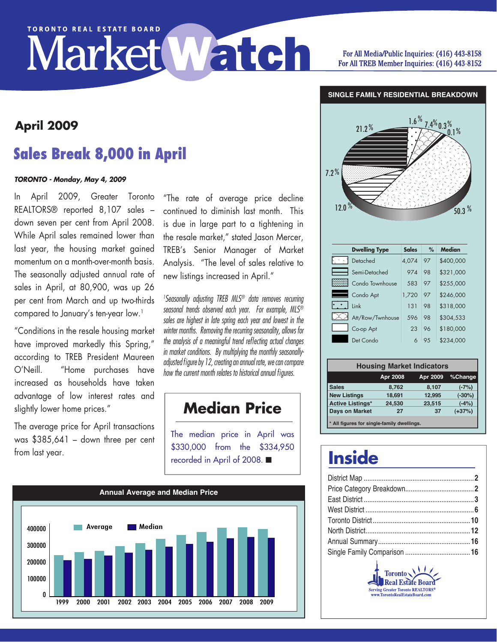# **TORONTO REAL ESTATE BOARD** Market Watch

#### For All Media/Public Inquiries: (416) 443-8158 For All TREB Member Inquiries: (416) 443-8152

**SINGLE FAMILY RESIDENTIAL BREAKDOWN**

## **Sales Break 8,000 in April**

#### *TORONTO - Monday, May 4, 2009*

In April 2009, Greater Toronto REALTORS® reported 8,107 sales – down seven per cent from April 2008. While April sales remained lower than last year, the housing market gained momentum on a month-over-month basis. The seasonally adjusted annual rate of sales in April, at 80,900, was up 26 per cent from March and up two-thirds compared to January's ten-year low.<sup>1</sup>

"Conditions in the resale housing market have improved markedly this Spring," according to TREB President Maureen O'Neill. "Home purchases have increased as households have taken advantage of low interest rates and slightly lower home prices."

The average price for April transactions was \$385,641 – down three per cent from last year.

"The rate of average price decline continued to diminish last month. This is due in large part to a tightening in the resale market," stated Jason Mercer, TREB's Senior Manager of Market IREB's Senior Manager ot Market<br>Analysis. "The level of sales-relative-to new listings increased in April."

<sup>1</sup> Seasonally adjusting TREB MLS<sup>®</sup> data removes recurring *seasonal trends observed each year. For example, MLS® sales are highest in late spring each year and lowest in the winter months. Removing the recurring seasonality, allows for*  48.3 12.0 % *the analysis of a meaningful trend reflecting actual changes in market conditions. By multiplying the monthly seasonallyadjusted figure by 12, creating an annual rate, we can compare how the current month relates to historical annual figures.*

## **Median Price**

The median price in April was \$330,000 from the \$334,950 recorded in April of 2008. ■





| <b>Dwelling Type</b> | <b>Sales</b> | %   | <b>Median</b> |
|----------------------|--------------|-----|---------------|
| Detached             | 4,074        | 97  | \$400,000     |
| Semi-Detached        | 974          | 98  | \$321,000     |
| Condo Townhouse      | 583          | 97  | \$255,000     |
| Condo Apt            | 1,720        | 97  | \$246,000     |
| Link                 | 131          | 98  | \$318,000     |
| Att/Row/Twnhouse     | 596          | 98  | \$304,533     |
| Co-op Apt            | 23           | 96  | \$180,000     |
| Det Condo            |              | 9.5 | \$234,000     |

| <b>Housing Market Indicators</b>           |          |          |          |  |  |  |  |  |  |
|--------------------------------------------|----------|----------|----------|--|--|--|--|--|--|
|                                            | Apr 2008 | Apr 2009 | %Change  |  |  |  |  |  |  |
| <b>Sales</b>                               | 8,762    | 8,107    | $(-7%)$  |  |  |  |  |  |  |
| <b>New Listings</b>                        | 18,691   | 12.995   | $(-30%)$ |  |  |  |  |  |  |
| <b>Active Listings*</b>                    | 24,530   | 23,515   | $(-4%)$  |  |  |  |  |  |  |
| <b>Days on Market</b>                      | 27       | 37       | $(+37%)$ |  |  |  |  |  |  |
| * All figures for single-family dwellings. |          |          |          |  |  |  |  |  |  |

## **Inside**

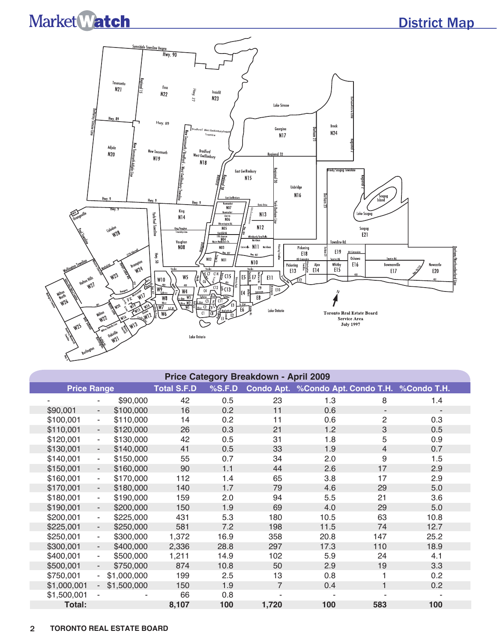## District Map



| Price Category Breakdown - April 2009 |                          |             |                    |        |                |                                               |                          |      |  |  |  |
|---------------------------------------|--------------------------|-------------|--------------------|--------|----------------|-----------------------------------------------|--------------------------|------|--|--|--|
| <b>Price Range</b>                    |                          |             | <b>Total S.F.D</b> | %S.F.D |                | Condo Apt. %Condo Apt. Condo T.H. %Condo T.H. |                          |      |  |  |  |
|                                       |                          | \$90,000    | 42                 | 0.5    | 23             | 1.3                                           | 8                        | 1.4  |  |  |  |
| \$90,001                              | $\blacksquare$           | \$100,000   | 16                 | 0.2    | 11             | 0.6                                           | $\overline{\phantom{a}}$ |      |  |  |  |
| \$100,001                             | $\blacksquare$           | \$110,000   | 14                 | 0.2    | 11             | 0.6                                           | $\overline{c}$           | 0.3  |  |  |  |
| \$110,001                             | $\blacksquare$           | \$120,000   | 26                 | 0.3    | 21             | 1.2                                           | 3                        | 0.5  |  |  |  |
| \$120,001                             | $\blacksquare$           | \$130,000   | 42                 | 0.5    | 31             | 1.8                                           | 5                        | 0.9  |  |  |  |
| \$130,001                             | $\blacksquare$           | \$140,000   | 41                 | 0.5    | 33             | 1.9                                           | $\overline{4}$           | 0.7  |  |  |  |
| \$140,001                             | $\blacksquare$           | \$150,000   | 55                 | 0.7    | 34             | 2.0                                           | 9                        | 1.5  |  |  |  |
| \$150,001                             | ÷,                       | \$160,000   | 90                 | 1.1    | 44             | 2.6                                           | 17                       | 2.9  |  |  |  |
| \$160,001                             | $\blacksquare$           | \$170,000   | 112                | 1.4    | 65             | 3.8                                           | 17                       | 2.9  |  |  |  |
| \$170,001                             | $\overline{\phantom{a}}$ | \$180,000   | 140                | 1.7    | 79             | 4.6                                           | 29                       | 5.0  |  |  |  |
| \$180,001                             | $\overline{\phantom{a}}$ | \$190,000   | 159                | 2.0    | 94             | 5.5                                           | 21                       | 3.6  |  |  |  |
| \$190,001                             | $\overline{\phantom{a}}$ | \$200,000   | 150                | 1.9    | 69             | 4.0                                           | 29                       | 5.0  |  |  |  |
| \$200,001                             | $\overline{\phantom{a}}$ | \$225,000   | 431                | 5.3    | 180            | 10.5                                          | 63                       | 10.8 |  |  |  |
| \$225,001                             | $\sim$                   | \$250,000   | 581                | 7.2    | 198            | 11.5                                          | 74                       | 12.7 |  |  |  |
| \$250,001                             | $\blacksquare$           | \$300,000   | 1,372              | 16.9   | 358            | 20.8                                          | 147                      | 25.2 |  |  |  |
| \$300,001                             | $\blacksquare$           | \$400,000   | 2,336              | 28.8   | 297            | 17.3                                          | 110                      | 18.9 |  |  |  |
| \$400,001                             | $\sim$                   | \$500,000   | 1,211              | 14.9   | 102            | 5.9                                           | 24                       | 4.1  |  |  |  |
| \$500,001                             | $\sim$                   | \$750,000   | 874                | 10.8   | 50             | 2.9                                           | 19                       | 3.3  |  |  |  |
| \$750,001                             | $\sim$                   | \$1,000,000 | 199                | 2.5    | 13             | 0.8                                           | 1                        | 0.2  |  |  |  |
| \$1,000,001                           | $\sim$                   | \$1,500,000 | 150                | 1.9    | $\overline{7}$ | 0.4                                           | 1                        | 0.2  |  |  |  |
| \$1,500,001                           |                          |             | 66                 | 0.8    |                |                                               |                          |      |  |  |  |
| Total:                                |                          |             | 8,107              | 100    | 1,720          | 100                                           | 583                      | 100  |  |  |  |

#### 2 **TORONTO REAL ESTATE BOARD**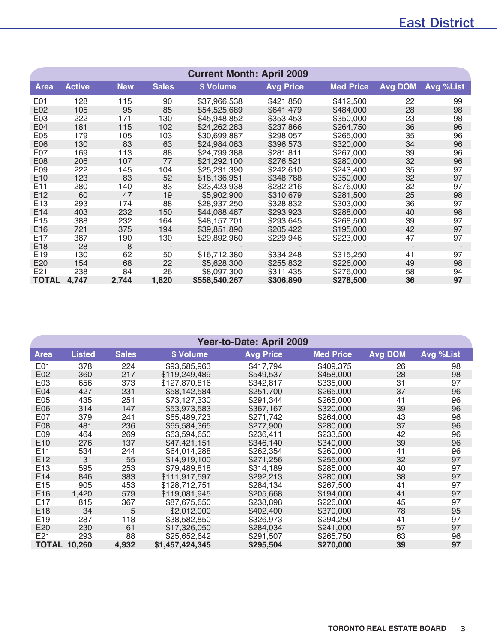### East District

| <b>Current Month: April 2009</b> |               |            |              |               |                  |                  |                |           |  |  |  |
|----------------------------------|---------------|------------|--------------|---------------|------------------|------------------|----------------|-----------|--|--|--|
| <b>Area</b>                      | <b>Active</b> | <b>New</b> | <b>Sales</b> | \$ Volume     | <b>Avg Price</b> | <b>Med Price</b> | <b>Avg DOM</b> | Avg %List |  |  |  |
| E01                              | 128           | 115        | 90           | \$37,966,538  | \$421,850        | \$412,500        | 22             | 99        |  |  |  |
| E02                              | 105           | 95         | 85           | \$54,525,689  | \$641.479        | \$484,000        | 28             | 98        |  |  |  |
| E03                              | 222           | 171        | 130          | \$45,948,852  | \$353,453        | \$350,000        | 23             | 98        |  |  |  |
| E04                              | 181           | 115        | 102          | \$24,262,283  | \$237,866        | \$264,750        | 36             | 96        |  |  |  |
| E05                              | 179           | 105        | 103          | \$30,699,887  | \$298,057        | \$265,000        | 35             | 96        |  |  |  |
| E06                              | 130           | 83         | 63           | \$24,984,083  | \$396,573        | \$320,000        | 34             | 96        |  |  |  |
| E07                              | 169           | 113        | 88           | \$24,799,388  | \$281,811        | \$267,000        | 39             | 96        |  |  |  |
| E08                              | 206           | 107        | 77           | \$21,292,100  | \$276,521        | \$280,000        | 32             | 96        |  |  |  |
| E09                              | 222           | 145        | 104          | \$25,231,390  | \$242,610        | \$243,400        | 35             | 97        |  |  |  |
| E10                              | 123           | 83         | 52           | \$18,136,951  | \$348,788        | \$350,000        | 32             | 97        |  |  |  |
| E <sub>11</sub>                  | 280           | 140        | 83           | \$23,423,938  | \$282,216        | \$276,000        | 32             | 97        |  |  |  |
| E <sub>12</sub>                  | 60            | 47         | 19           | \$5,902,900   | \$310,679        | \$281,500        | 25             | 98        |  |  |  |
| E <sub>13</sub>                  | 293           | 174        | 88           | \$28,937,250  | \$328,832        | \$303,000        | 36             | 97        |  |  |  |
| E <sub>14</sub>                  | 403           | 232        | 150          | \$44,088,487  | \$293,923        | \$288,000        | 40             | 98        |  |  |  |
| E15                              | 388           | 232        | 164          | \$48,157,701  | \$293,645        | \$268,500        | 39             | 97        |  |  |  |
| E16                              | 721           | 375        | 194          | \$39,851,890  | \$205,422        | \$195,000        | 42             | 97        |  |  |  |
| E17                              | 387           | 190        | 130          | \$29,892,960  | \$229,946        | \$223,000        | 47             | 97        |  |  |  |
| E18                              | 28            | 8          |              |               |                  |                  |                |           |  |  |  |
| E19                              | 130           | 62         | 50           | \$16,712,380  | \$334,248        | \$315,250        | 41             | 97        |  |  |  |
| E20                              | 154           | 68         | 22           | \$5,628,300   | \$255,832        | \$226,000        | 49             | 98        |  |  |  |
| E21                              | 238           | 84         | 26           | \$8,097,300   | \$311,435        | \$276,000        | 58             | 94        |  |  |  |
| <b>TOTAL</b>                     | 4,747         | 2,744      | 1,820        | \$558,540,267 | \$306,890        | \$278,500        | 36             | 97        |  |  |  |

| Year-to-Date: April 2009 |                     |              |                 |                  |                  |                |           |  |  |  |  |
|--------------------------|---------------------|--------------|-----------------|------------------|------------------|----------------|-----------|--|--|--|--|
| <b>Area</b>              | <b>Listed</b>       | <b>Sales</b> | \$ Volume       | <b>Avg Price</b> | <b>Med Price</b> | <b>Avg DOM</b> | Avg %List |  |  |  |  |
| E01                      | 378                 | 224          | \$93,585,963    | \$417,794        | \$409,375        | 26             | 98        |  |  |  |  |
| E02                      | 360                 | 217          | \$119,249,489   | \$549,537        | \$458,000        | 28             | 98        |  |  |  |  |
| E03                      | 656                 | 373          | \$127,870,816   | \$342,817        | \$335,000        | 31             | 97        |  |  |  |  |
| E04                      | 427                 | 231          | \$58,142,584    | \$251,700        | \$265,000        | 37             | 96        |  |  |  |  |
| E05                      | 435                 | 251          | \$73,127,330    | \$291,344        | \$265,000        | 41             | 96        |  |  |  |  |
| E <sub>06</sub>          | 314                 | 147          | \$53,973,583    | \$367,167        | \$320,000        | 39             | 96        |  |  |  |  |
| E07                      | 379                 | 241          | \$65,489,723    | \$271,742        | \$264,000        | 43             | 96        |  |  |  |  |
| E08                      | 481                 | 236          | \$65,584,365    | \$277,900        | \$280,000        | 37             | 96        |  |  |  |  |
| E09                      | 464                 | 269          | \$63,594,650    | \$236,411        | \$233,500        | 42             | 96        |  |  |  |  |
| E <sub>10</sub>          | 276                 | 137          | \$47,421,151    | \$346,140        | \$340,000        | 39             | 96        |  |  |  |  |
| E <sub>11</sub>          | 534                 | 244          | \$64,014,288    | \$262,354        | \$260,000        | 41             | 96        |  |  |  |  |
| E <sub>12</sub>          | 131                 | 55           | \$14,919,100    | \$271,256        | \$255,000        | 32             | 97        |  |  |  |  |
| E <sub>13</sub>          | 595                 | 253          | \$79,489,818    | \$314,189        | \$285,000        | 40             | 97        |  |  |  |  |
| E <sub>14</sub>          | 846                 | 383          | \$111,917,597   | \$292,213        | \$280,000        | 38             | 97        |  |  |  |  |
| E <sub>15</sub>          | 905                 | 453          | \$128,712,751   | \$284,134        | \$267,500        | 41             | 97        |  |  |  |  |
| E16                      | 1,420               | 579          | \$119,081,945   | \$205,668        | \$194,000        | 41             | 97        |  |  |  |  |
| E <sub>17</sub>          | 815                 | 367          | \$87,675,650    | \$238,898        | \$226,000        | 45             | 97        |  |  |  |  |
| E <sub>18</sub>          | 34                  | 5            | \$2,012,000     | \$402,400        | \$370,000        | 78             | 95        |  |  |  |  |
| E19                      | 287                 | 118          | \$38,582,850    | \$326,973        | \$294,250        | 41             | 97        |  |  |  |  |
| E20                      | 230                 | 61           | \$17,326,050    | \$284,034        | \$241,000        | 57             | 97        |  |  |  |  |
| E21                      | 293                 | 88           | \$25,652,642    | \$291,507        | \$265,750        | 63             | 96        |  |  |  |  |
|                          | <b>TOTAL 10,260</b> | 4,932        | \$1,457,424,345 | \$295,504        | \$270,000        | 39             | 97        |  |  |  |  |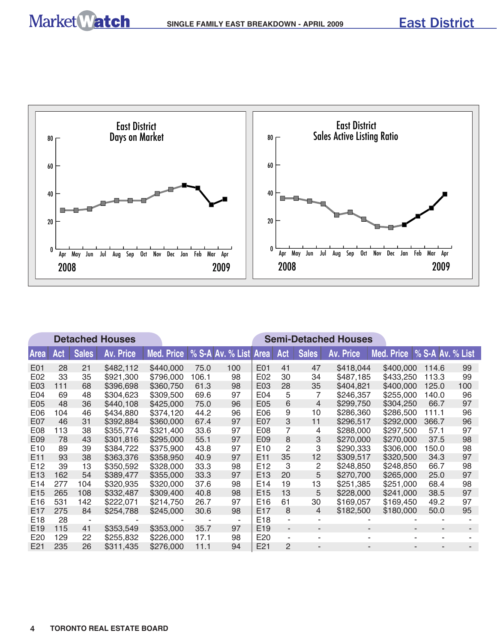

|                 | <b>Detached Houses</b> |              |                  |            |       |                  |                 |                |                | <b>Semi-Detached Houses</b> |                               |       |     |
|-----------------|------------------------|--------------|------------------|------------|-------|------------------|-----------------|----------------|----------------|-----------------------------|-------------------------------|-------|-----|
| <b>Area</b>     | Act                    | <b>Sales</b> | <b>Av. Price</b> | Med. Price |       | % S-A Av. % List | <b>Area</b>     | Act            | <b>Sales</b>   | <b>Av. Price</b>            | Med. Price   % S-A Av. % List |       |     |
| E01             | 28                     | 21           | \$482,112        | \$440,000  | 75.0  | 100              | E01             | 41             | 47             | \$418,044                   | \$400,000                     | 114.6 | 99  |
| E02             | 33                     | 35           | \$921,300        | \$796,000  | 106.1 | 98               | E02             | 30             | 34             | \$487,185                   | \$433,250                     | 113.3 | 99  |
| E03             | 111                    | 68           | \$396,698        | \$360,750  | 61.3  | 98               | E03             | 28             | 35             | \$404,821                   | \$400,000                     | 125.0 | 100 |
| E04             | 69                     | 48           | \$304,623        | \$309,500  | 69.6  | 97               | E04             | 5              | 7              | \$246,357                   | \$255,000                     | 140.0 | 96  |
| E05             | 48                     | 36           | \$440,108        | \$425,000  | 75.0  | 96               | E05             | 6              | $\overline{4}$ | \$299,750                   | \$304,250                     | 66.7  | 97  |
| E06             | 104                    | 46           | \$434,880        | \$374,120  | 44.2  | 96               | E06             | 9              | 10             | \$286,360                   | \$286,500                     | 111.1 | 96  |
| E07             | 46                     | 31           | \$392,884        | \$360,000  | 67.4  | 97               | E07             | 3              | 11             | \$296,517                   | \$292,000                     | 366.7 | 96  |
| E08             | 113                    | 38           | \$355,774        | \$321,400  | 33.6  | 97               | E08             | 7              | 4              | \$288,000                   | \$297,500                     | 57.1  | 97  |
| E09             | 78                     | 43           | \$301,816        | \$295,000  | 55.1  | 97               | E09             | 8              | 3              | \$270,000                   | \$270,000                     | 37.5  | 98  |
| E <sub>10</sub> | 89                     | 39           | \$384,722        | \$375,900  | 43.8  | 97               | E <sub>10</sub> | 2              | 3              | \$290,333                   | \$306,000                     | 150.0 | 98  |
| E <sub>11</sub> | 93                     | 38           | \$363,376        | \$358,950  | 40.9  | 97               | E <sub>11</sub> | 35             | 12             | \$309,517                   | \$320,500                     | 34.3  | 97  |
| E <sub>12</sub> | 39                     | 13           | \$350,592        | \$328,000  | 33.3  | 98               | E <sub>12</sub> | 3              | $\overline{c}$ | \$248,850                   | \$248,850                     | 66.7  | 98  |
| E <sub>13</sub> | 162                    | 54           | \$389,477        | \$355,000  | 33.3  | 97               | E <sub>13</sub> | 20             | 5              | \$270,700                   | \$265,000                     | 25.0  | 97  |
| E <sub>14</sub> | 277                    | 104          | \$320,935        | \$320,000  | 37.6  | 98               | E14             | 19             | 13             | \$251,385                   | \$251,000                     | 68.4  | 98  |
| E15             | 265                    | 108          | \$332,487        | \$309,400  | 40.8  | 98               | E <sub>15</sub> | 13             | 5              | \$228,000                   | \$241,000                     | 38.5  | 97  |
| E <sub>16</sub> | 531                    | 142          | \$222,071        | \$214,750  | 26.7  | 97               | E <sub>16</sub> | 61             | 30             | \$169,057                   | \$169,450                     | 49.2  | 97  |
| E <sub>17</sub> | 275                    | 84           | \$254,788        | \$245,000  | 30.6  | 98               | E <sub>17</sub> | 8              | 4              | \$182,500                   | \$180,000                     | 50.0  | 95  |
| E <sub>18</sub> | 28                     |              |                  |            |       | ۰                | E <sub>18</sub> |                |                |                             |                               |       |     |
| E <sub>19</sub> | 115                    | 41           | \$353.549        | \$353,000  | 35.7  | 97               | E <sub>19</sub> | $\sim$         | ۰              |                             |                               |       |     |
| E20             | 129                    | 22           | \$255,832        | \$226,000  | 17.1  | 98               | E20             | $\sim$         | ۰              |                             |                               |       |     |
| E21             | 235                    | 26           | \$311,435        | \$276,000  | 11.1  | 94               | E21             | $\overline{2}$ |                |                             |                               |       |     |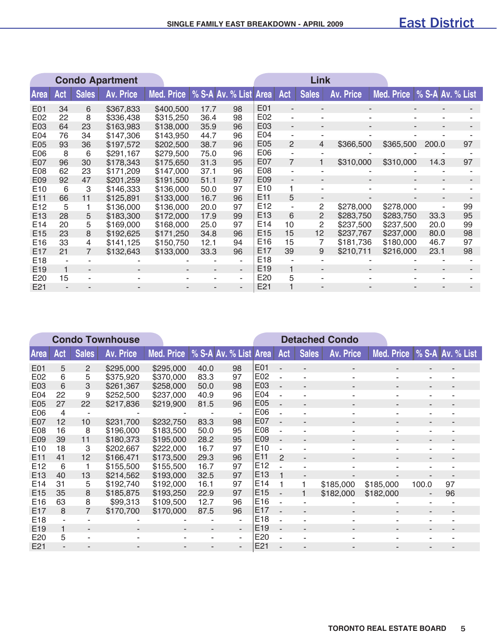|                 | <b>Condo Apartment</b> |              |           |                                    |      |    |                 |                | Link         |           |                               |       |    |
|-----------------|------------------------|--------------|-----------|------------------------------------|------|----|-----------------|----------------|--------------|-----------|-------------------------------|-------|----|
| <b>Area</b>     | Act                    | <b>Sales</b> | Av. Price | Med. Price   % S-A Av. % List Area |      |    |                 | Act            | <b>Sales</b> | Av. Price | Med. Price   % S-A Av. % List |       |    |
| E01             | 34                     | 6            | \$367,833 | \$400,500                          | 17.7 | 98 | E01             |                | -            |           | ٠                             |       |    |
| E02             | 22                     | 8            | \$336,438 | \$315,250                          | 36.4 | 98 | E02             | $\blacksquare$ | ۰            |           |                               |       |    |
| E03             | 64                     | 23           | \$163,983 | \$138,000                          | 35.9 | 96 | E03             | $\blacksquare$ | ٠            |           | ٠                             |       |    |
| E <sub>04</sub> | 76                     | 34           | \$147,306 | \$143,950                          | 44.7 | 96 | E04             | ۰              | ۰            |           |                               |       |    |
| E05             | 93                     | 36           | \$197,572 | \$202,500                          | 38.7 | 96 | E05             | $\mathcal{P}$  | 4            | \$366,500 | \$365,500                     | 200.0 | 97 |
| E06             | 8                      | 6            | \$291,167 | \$279,500                          | 75.0 | 96 | E06             |                |              |           |                               |       |    |
| E07             | 96                     | 30           | \$178,343 | \$175,650                          | 31.3 | 95 | E07             | $\overline{7}$ |              | \$310,000 | \$310,000                     | 14.3  | 97 |
| E08             | 62                     | 23           | \$171,209 | \$147,000                          | 37.1 | 96 | E08             |                |              |           |                               |       |    |
| E09             | 92                     | 47           | \$201,259 | \$191,500                          | 51.1 | 97 | E09             | $\blacksquare$ | ٠            |           | $\overline{\phantom{a}}$      |       |    |
| E <sub>10</sub> | 6                      | 3            | \$146,333 | \$136,000                          | 50.0 | 97 | E <sub>10</sub> |                |              |           |                               |       |    |
| E <sub>11</sub> | 66                     | 11           | \$125,891 | \$133,000                          | 16.7 | 96 | E11             | 5              |              |           |                               |       |    |
| E <sub>12</sub> | 5                      |              | \$136,000 | \$136,000                          | 20.0 | 97 | E <sub>12</sub> |                | 2            | \$278,000 | \$278,000                     |       | 99 |
| E <sub>13</sub> | 28                     | 5            | \$183,300 | \$172,000                          | 17.9 | 99 | E <sub>13</sub> | 6              | 2            | \$283,750 | \$283,750                     | 33.3  | 95 |
| E <sub>14</sub> | 20                     | 5            | \$169,000 | \$168,000                          | 25.0 | 97 | E <sub>14</sub> | 10             | 2            | \$237,500 | \$237,500                     | 20.0  | 99 |
| E <sub>15</sub> | 23                     | 8            | \$192,625 | \$171,250                          | 34.8 | 96 | E <sub>15</sub> | 15             | 12           | \$237,767 | \$237,000                     | 80.0  | 98 |
| E <sub>16</sub> | 33                     | 4            | \$141,125 | \$150,750                          | 12.1 | 94 | E <sub>16</sub> | 15             | 7            | \$181,736 | \$180,000                     | 46.7  | 97 |
| E <sub>17</sub> | 21                     |              | \$132,643 | \$133,000                          | 33.3 | 96 | E <sub>17</sub> | 39             | 9            | \$210,711 | \$216,000                     | 23.1  | 98 |
| E <sub>18</sub> |                        |              |           |                                    |      |    | E <sub>18</sub> |                |              |           |                               |       |    |
| E <sub>19</sub> |                        |              |           |                                    |      | ٠  | E <sub>19</sub> |                |              |           |                               |       |    |
| E20             | 15                     |              |           |                                    |      | ۰  | E20             | 5              |              |           |                               |       |    |
| E21             |                        |              |           |                                    |      |    | E21             |                |              |           |                               |       |    |

|                 |     |              | <b>Condo Townhouse</b> |            |                       |                |                 |                          |                          | <b>Detached Condo</b>    |            |                          |                  |
|-----------------|-----|--------------|------------------------|------------|-----------------------|----------------|-----------------|--------------------------|--------------------------|--------------------------|------------|--------------------------|------------------|
| Area            | Act | <b>Sales</b> | <b>Av. Price</b>       | Med. Price | % S-A Av. % List Area |                |                 | Act                      | <b>Sales</b>             | <b>Av. Price</b>         | Med. Price |                          | % S-A Av. % List |
| E01             | 5   | 2            | \$295,000              | \$295,000  | 40.0                  | 98             | E01             | $\overline{\phantom{a}}$ | $\blacksquare$           | $\overline{\phantom{a}}$ | ۰.         | $\overline{\phantom{a}}$ |                  |
| E02             | 6   | 5            | \$375,920              | \$370,000  | 83.3                  | 97             | E02             | ٠                        |                          |                          | ٠          | ۰                        |                  |
| E03             | 6   | 3            | \$261,367              | \$258,000  | 50.0                  | 98             | E03             | $\overline{\phantom{a}}$ | $\blacksquare$           | $\overline{\phantom{a}}$ |            | $\overline{\phantom{a}}$ | $\blacksquare$   |
| E <sub>04</sub> | 22  | 9            | \$252,500              | \$237,000  | 40.9                  | 96             | E04             | $\sim$                   |                          |                          |            |                          |                  |
| E05             | 27  | 22           | \$217,836              | \$219,900  | 81.5                  | 96             | E05             | $\overline{\phantom{a}}$ | $\overline{\phantom{a}}$ |                          |            |                          |                  |
| E06             | 4   |              |                        |            |                       |                | E06             | $\sim$                   |                          |                          |            |                          |                  |
| E07             | 12  | 10           | \$231,700              | \$232,750  | 83.3                  | 98             | E07             | $\overline{\phantom{a}}$ | $\overline{\phantom{a}}$ |                          |            | $\overline{\phantom{a}}$ |                  |
| E08             | 16  | 8            | \$196,000              | \$183,500  | 50.0                  | 95             | E08             | $\sim$                   |                          |                          |            |                          |                  |
| E09             | 39  | 11           | \$180,373              | \$195,000  | 28.2                  | 95             | E09             | $\overline{\phantom{a}}$ | $\blacksquare$           |                          |            | $\overline{\phantom{a}}$ |                  |
| E <sub>10</sub> | 18  | 3            | \$202,667              | \$222,000  | 16.7                  | 97             | E <sub>10</sub> | $\sim$                   |                          |                          |            |                          |                  |
| E11             | 41  | 12           | \$166,471              | \$173,500  | 29.3                  | 96             | E <sub>11</sub> | $\mathcal{P}$            | $\blacksquare$           |                          |            | ٠                        | ۰                |
| E12             | 6   |              | \$155,500              | \$155,500  | 16.7                  | 97             | E <sub>12</sub> |                          |                          |                          |            |                          |                  |
| E <sub>13</sub> | 40  | 13           | \$214,562              | \$193,000  | 32.5                  | 97             | E <sub>13</sub> |                          |                          |                          |            |                          |                  |
| E <sub>14</sub> | 31  | 5            | \$192,740              | \$192,000  | 16.1                  | 97             | E <sub>14</sub> |                          |                          | \$185,000                | \$185,000  | 100.0                    | 97               |
| E <sub>15</sub> | 35  | 8            | \$185,875              | \$193,250  | 22.9                  | 97             | E15             | $\overline{\phantom{a}}$ |                          | \$182,000                | \$182,000  | ٠                        | 96               |
| E <sub>16</sub> | 63  | 8            | \$99,313               | \$109,500  | 12.7                  | 96             | E <sub>16</sub> |                          |                          |                          |            |                          |                  |
| E <sub>17</sub> | 8   | 7            | \$170,700              | \$170,000  | 87.5                  | 96             | E <sub>17</sub> | ÷,                       |                          |                          | ٠          |                          |                  |
| E <sub>18</sub> |     |              |                        |            |                       | ÷              | E <sub>18</sub> | ä,                       |                          |                          |            |                          |                  |
| E <sub>19</sub> |     |              |                        |            |                       | $\blacksquare$ | E19             | $\sim$                   |                          |                          |            |                          |                  |
| E20             | 5   |              |                        |            |                       | ٠              | E20             |                          |                          |                          |            |                          |                  |
| E21             |     |              |                        |            |                       | $\blacksquare$ | E21             |                          |                          |                          |            |                          |                  |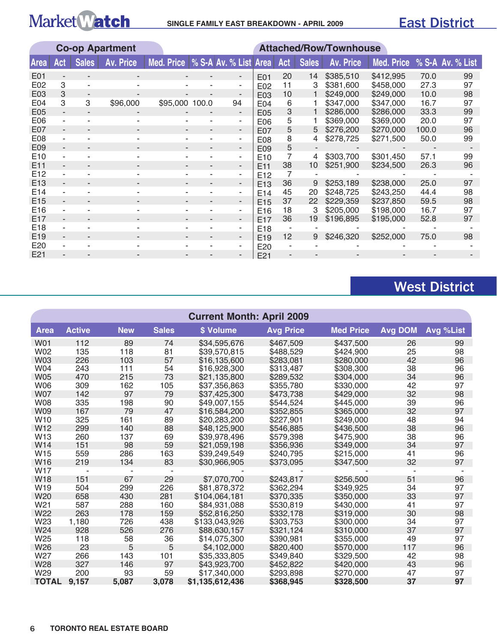|                 | <b>Co-op Apartment</b> |              |                  |                |                       |                          |                 |     |              | <b>Attached/Row/Townhouse</b> |            |       |                  |
|-----------------|------------------------|--------------|------------------|----------------|-----------------------|--------------------------|-----------------|-----|--------------|-------------------------------|------------|-------|------------------|
| <b>Area</b>     | Act                    | <b>Sales</b> | <b>Av. Price</b> | Med. Price     | % S-A Av. % List Area |                          |                 | Act | <b>Sales</b> | Av. Price                     | Med. Price |       | % S-A Av. % List |
| E01             |                        |              |                  |                |                       |                          | E01             | 20  | 14           | \$385,510                     | \$412,995  | 70.0  | 99               |
| E02             | 3                      |              |                  |                |                       | ۰                        | E02             | 11  |              | \$381,600                     | \$458,000  | 27.3  | 97               |
| E03             | 3                      |              |                  |                |                       |                          | E03             | 10  |              | \$249,000                     | \$249,000  | 10.0  | 98               |
| E04             | 3                      | 3            | \$96,000         | \$95,000 100.0 |                       | 94                       | E04             | 6   |              | \$347,000                     | \$347,000  | 16.7  | 97               |
| E05             |                        |              |                  |                |                       | ۰.                       | E05             | 3   |              | \$286,000                     | \$286,000  | 33.3  | 99               |
| E06             |                        |              |                  |                |                       | ۰.                       | E06             | 5   |              | \$369,000                     | \$369,000  | 20.0  | 97               |
| E07             |                        |              |                  |                |                       | $\overline{\phantom{a}}$ | E07             | 5   | 5            | \$276,200                     | \$270,000  | 100.0 | 96               |
| E08             |                        |              |                  |                |                       | ۰.                       | E08             | 8   | 4            | \$278,725                     | \$271,500  | 50.0  | 99               |
| E09             |                        |              |                  |                |                       | ۰.                       | E <sub>09</sub> | 5   |              |                               |            |       |                  |
| E <sub>10</sub> |                        |              |                  |                |                       | ۰.                       | E <sub>10</sub> |     | 4            | \$303,700                     | \$301,450  | 57.1  | 99               |
| E <sub>11</sub> |                        |              | -                |                | -                     | $\overline{\phantom{a}}$ | E <sub>11</sub> | 38  | 10           | \$251,900                     | \$234,500  | 26.3  | 96               |
| E <sub>12</sub> |                        |              |                  |                |                       | ۰.                       | E <sub>12</sub> |     |              |                               |            |       |                  |
| E <sub>13</sub> |                        |              | ۰                |                | -                     | ۰.                       | E <sub>13</sub> | 36  | 9            | \$253,189                     | \$238,000  | 25.0  | 97               |
| E14             |                        |              |                  |                |                       | ۰                        | E14             | 45  | 20           | \$248,725                     | \$243,250  | 44.4  | 98               |
| E <sub>15</sub> |                        |              |                  |                |                       | ۰.                       | E <sub>15</sub> | 37  | 22           | \$229,359                     | \$237,850  | 59.5  | 98               |
| E <sub>16</sub> |                        |              |                  |                |                       | ۰                        | E <sub>16</sub> | 18  | 3            | \$205,000                     | \$198,000  | 16.7  | 97               |
| E17             |                        |              |                  |                |                       |                          | E <sub>17</sub> | 36  | 19           | \$196,895                     | \$195,000  | 52.8  | 97               |
| E18             |                        |              |                  |                |                       |                          | E <sub>18</sub> |     |              |                               |            |       |                  |
| E <sub>19</sub> |                        |              |                  |                |                       |                          | E <sub>19</sub> | 12  | 9            | \$246,320                     | \$252,000  | 75.0  | 98               |
| E <sub>20</sub> |                        |              |                  |                |                       |                          | E <sub>20</sub> |     |              |                               |            |       |                  |
| E21             |                        |              |                  |                |                       |                          | E21             |     |              |                               |            |       |                  |

## West District

| <b>Current Month: April 2009</b> |               |            |              |                 |                  |                  |                |           |  |  |  |
|----------------------------------|---------------|------------|--------------|-----------------|------------------|------------------|----------------|-----------|--|--|--|
| <b>Area</b>                      | <b>Active</b> | <b>New</b> | <b>Sales</b> | \$ Volume       | <b>Avg Price</b> | <b>Med Price</b> | <b>Avg DOM</b> | Avg %List |  |  |  |
| <b>W01</b>                       | 112           | 89         | 74           | \$34,595,676    | \$467,509        | \$437,500        | 26             | 99        |  |  |  |
| W02                              | 135           | 118        | 81           | \$39,570,815    | \$488.529        | \$424,900        | 25             | 98        |  |  |  |
| <b>W03</b>                       | 226           | 103        | 57           | \$16,135,600    | \$283,081        | \$280,000        | 42             | 96        |  |  |  |
| W04                              | 243           | 111        | 54           | \$16,928,300    | \$313,487        | \$308,300        | 38             | 96        |  |  |  |
| <b>W05</b>                       | 470           | 215        | 73           | \$21,135,800    | \$289,532        | \$304,000        | 34             | 96        |  |  |  |
| <b>W06</b>                       | 309           | 162        | 105          | \$37,356,863    | \$355.780        | \$330,000        | 42             | 97        |  |  |  |
| <b>W07</b>                       | 142           | 97         | 79           | \$37,425,300    | \$473,738        | \$429,000        | 32             | 98        |  |  |  |
| <b>W08</b>                       | 335           | 198        | 90           | \$49,007,155    | \$544,524        | \$445,000        | 39             | 96        |  |  |  |
| <b>W09</b>                       | 167           | 79         | 47           | \$16,584,200    | \$352,855        | \$365,000        | 32             | 97        |  |  |  |
| W <sub>10</sub>                  | 325           | 161        | 89           | \$20,283,200    | \$227,901        | \$249,000        | 48             | 94        |  |  |  |
| W <sub>12</sub>                  | 299           | 140        | 88           | \$48,125,900    | \$546,885        | \$436,500        | 38             | 96        |  |  |  |
| W13                              | 260           | 137        | 69           | \$39,978,496    | \$579,398        | \$475,900        | 38             | 96        |  |  |  |
| W14                              | 151           | 98         | 59           | \$21,059,198    | \$356,936        | \$349,000        | 34             | 97        |  |  |  |
| W15                              | 559           | 286        | 163          | \$39,249,549    | \$240,795        | \$215,000        | 41             | 96        |  |  |  |
| W <sub>16</sub>                  | 219           | 134        | 83           | \$30,966,905    | \$373,095        | \$347,500        | 32             | 97        |  |  |  |
| W17                              |               |            |              |                 |                  |                  |                |           |  |  |  |
| <b>W18</b>                       | 151           | 67         | 29           | \$7,070,700     | \$243,817        | \$256,500        | 51             | 96        |  |  |  |
| W19                              | 504           | 299        | 226          | \$81,878,372    | \$362,294        | \$349,925        | 34             | 97        |  |  |  |
| W20                              | 658           | 430        | 281          | \$104,064,181   | \$370,335        | \$350,000        | 33             | 97        |  |  |  |
| W21                              | 587           | 288        | 160          | \$84,931,088    | \$530,819        | \$430,000        | 41             | 97        |  |  |  |
| W22                              | 263           | 178        | 159          | \$52,816,250    | \$332,178        | \$319,000        | 30             | 98        |  |  |  |
| W23                              | 1,180         | 726        | 438          | \$133,043,926   | \$303,753        | \$300,000        | 34             | 97        |  |  |  |
| W24                              | 928           | 526        | 276          | \$88,630,157    | \$321,124        | \$310,000        | 37             | 97        |  |  |  |
| W25                              | 118           | 58         | 36           | \$14,075,300    | \$390,981        | \$355,000        | 49             | 97        |  |  |  |
| W26                              | 23            | 5          | 5            | \$4,102,000     | \$820,400        | \$570,000        | 117            | 96        |  |  |  |
| W27                              | 266           | 143        | 101          | \$35,333,805    | \$349,840        | \$329,500        | 42             | 98        |  |  |  |
| W28                              | 327           | 146        | 97           | \$43,923,700    | \$452,822        | \$420,000        | 43             | 96        |  |  |  |
| W29                              | 200           | 93         | 59           | \$17,340,000    | \$293,898        | \$270,000        | 47             | 97        |  |  |  |
| <b>TOTAL</b>                     | 9,157         | 5,087      | 3,078        | \$1,135,612,436 | \$368,945        | \$328,500        | 37             | 97        |  |  |  |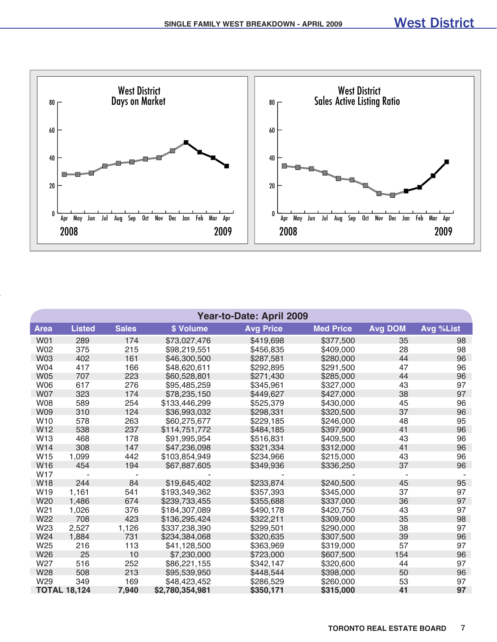

|                 | <b>Year-to-Date: April 2009</b> |              |                 |                  |                  |                |           |  |  |  |  |  |
|-----------------|---------------------------------|--------------|-----------------|------------------|------------------|----------------|-----------|--|--|--|--|--|
| <b>Area</b>     | <b>Listed</b>                   | <b>Sales</b> | \$ Volume       | <b>Avg Price</b> | <b>Med Price</b> | <b>Avg DOM</b> | Avg %List |  |  |  |  |  |
| <b>W01</b>      | 289                             | 174          | \$73,027,476    | \$419,698        | \$377,500        | 35             | 98        |  |  |  |  |  |
| W02             | 375                             | 215          | \$98,219,551    | \$456,835        | \$409,000        | 28             | 98        |  |  |  |  |  |
| <b>W03</b>      | 402                             | 161          | \$46,300,500    | \$287,581        | \$280,000        | 44             | 96        |  |  |  |  |  |
| W04             | 417                             | 166          | \$48,620,611    | \$292,895        | \$291,500        | 47             | 96        |  |  |  |  |  |
| <b>W05</b>      | 707                             | 223          | \$60,528,801    | \$271,430        | \$285,000        | 44             | 96        |  |  |  |  |  |
| <b>W06</b>      | 617                             | 276          | \$95,485,259    | \$345,961        | \$327,000        | 43             | 97        |  |  |  |  |  |
| <b>W07</b>      | 323                             | 174          | \$78,235,150    | \$449,627        | \$427,000        | 38             | 97        |  |  |  |  |  |
| <b>W08</b>      | 589                             | 254          | \$133,446,299   | \$525,379        | \$430,000        | 45             | 96        |  |  |  |  |  |
| <b>W09</b>      | 310                             | 124          | \$36,993,032    | \$298,331        | \$320,500        | 37             | 96        |  |  |  |  |  |
| W <sub>10</sub> | 578                             | 263          | \$60,275,677    | \$229,185        | \$246,000        | 48             | 95        |  |  |  |  |  |
| W12             | 538                             | 237          | \$114,751,772   | \$484,185        | \$397,900        | 41             | 96        |  |  |  |  |  |
| W13             | 468                             | 178          | \$91,995,954    | \$516,831        | \$409,500        | 43             | 96        |  |  |  |  |  |
| W <sub>14</sub> | 308                             | 147          | \$47,236,098    | \$321,334        | \$312,000        | 41             | 96        |  |  |  |  |  |
| W15             | 1,099                           | 442          | \$103,854,949   | \$234,966        | \$215,000        | 43             | 96        |  |  |  |  |  |
| W16             | 454                             | 194          | \$67,887,605    | \$349,936        | \$336,250        | 37             | 96        |  |  |  |  |  |
| <b>W17</b>      |                                 |              |                 |                  |                  |                |           |  |  |  |  |  |
| <b>W18</b>      | 244                             | 84           | \$19,645,402    | \$233,874        | \$240,500        | 45             | 95        |  |  |  |  |  |
| W19             | 1,161                           | 541          | \$193,349,362   | \$357,393        | \$345,000        | 37             | 97        |  |  |  |  |  |
| W <sub>20</sub> | 1,486                           | 674          | \$239,733,455   | \$355,688        | \$337,000        | 36             | 97        |  |  |  |  |  |
| W21             | 1,026                           | 376          | \$184,307,089   | \$490,178        | \$420,750        | 43             | 97        |  |  |  |  |  |
| W <sub>22</sub> | 708                             | 423          | \$136,295,424   | \$322,211        | \$309,000        | 35             | 98        |  |  |  |  |  |
| W23             | 2,527                           | 1,126        | \$337,238,390   | \$299,501        | \$290,000        | 38             | 97        |  |  |  |  |  |
| W24             | 1,884                           | 731          | \$234,384,068   | \$320,635        | \$307,500        | 39             | 96        |  |  |  |  |  |
| W25             | 216                             | 113          | \$41,128,500    | \$363,969        | \$319,000        | 57             | 97        |  |  |  |  |  |
| W <sub>26</sub> | 25                              | 10           | \$7,230,000     | \$723,000        | \$607,500        | 154            | 96        |  |  |  |  |  |
| W27             | 516                             | 252          | \$86,221,155    | \$342,147        | \$320,600        | 44             | 97        |  |  |  |  |  |
| W28             | 508                             | 213          | \$95,539,950    | \$448,544        | \$398,000        | 50             | 96        |  |  |  |  |  |
| W <sub>29</sub> | 349                             | 169          | \$48,423,452    | \$286,529        | \$260,000        | 53             | 97        |  |  |  |  |  |
|                 | <b>TOTAL 18,124</b>             | 7,940        | \$2,780,354,981 | \$350,171        | \$315,000        | 41             | 97        |  |  |  |  |  |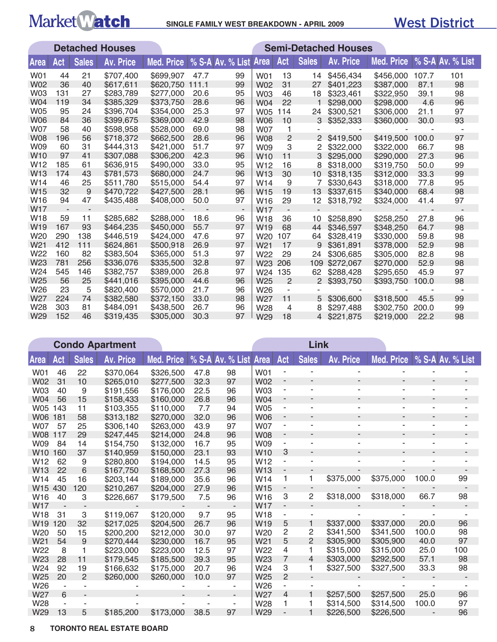# Market Match SINGLE FAMILY WEST BREAKDOWN - APRIL 2009

### West District

|                 |     |              | <b>Detached Houses</b> |                   | <b>Semi-Detached Houses</b> |                  |                 |                          |              |                  |                   |       |                  |
|-----------------|-----|--------------|------------------------|-------------------|-----------------------------|------------------|-----------------|--------------------------|--------------|------------------|-------------------|-------|------------------|
| Area            | Act | <b>Sales</b> | <b>Av. Price</b>       | <b>Med. Price</b> |                             | % S-A Av. % List | Area            | Act                      | <b>Sales</b> | <b>Av. Price</b> | <b>Med. Price</b> |       | % S-A Av. % List |
| W01             | 44  | 21           | \$707,400              | \$699,907         | 47.7                        | 99               | W01             | 13                       | 14           | \$456,434        | \$456,000         | 107.7 | 101              |
| <b>W02</b>      | 36  | 40           | \$617,611              | \$620,750         | 111.1                       | 99               | <b>W02</b>      | 31                       | 27           | \$401.223        | \$387,000         | 87.1  | 98               |
| <b>W03</b>      | 131 | 27           | \$283,789              | \$277,000         | 20.6                        | 95               | <b>W03</b>      | 46                       | 18           | \$323,461        | \$322,950         | 39.1  | 98               |
| W04             | 119 | 34           | \$385,329              | \$373,750         | 28.6                        | 96               | <b>W04</b>      | 22                       |              | \$298,000        | \$298,000         | 4.6   | 96               |
| <b>W05</b>      | 95  | 24           | \$396,704              | \$354,000         | 25.3                        | 97               | <b>W05</b>      | 114                      | 24           | \$300,521        | \$306,000         | 21.1  | 97               |
| <b>W06</b>      | 84  | 36           | \$399,675              | \$369,000         | 42.9                        | 98               | <b>W06</b>      | 10                       | 3            | \$352,333        | \$360,000         | 30.0  | 93               |
| <b>W07</b>      | 58  | 40           | \$598,958              | \$528,000         | 69.0                        | 98               | <b>W07</b>      | 1                        |              |                  |                   |       |                  |
| <b>W08</b>      | 196 | 56           | \$718,372              | \$662,500         | 28.6                        | 96               | <b>W08</b>      | 2                        | 2            | \$419,500        | \$419,500         | 100.0 | 97               |
| W09             | 60  | 31           | \$444,313              | \$421,000         | 51.7                        | 97               | W09             | 3                        | 2            | \$322,000        | \$322,000         | 66.7  | 98               |
| W <sub>10</sub> | 97  | 41           | \$307,088              | \$306,200         | 42.3                        | 96               | W <sub>10</sub> | 11                       | 3            | \$295,000        | \$290,000         | 27.3  | 96               |
| W <sub>12</sub> | 185 | 61           | \$636,915              | \$490,000         | 33.0                        | 95               | W <sub>12</sub> | 16                       | 8            | \$318,000        | \$319,750         | 50.0  | 99               |
| W <sub>13</sub> | 174 | 43           | \$781,573              | \$680,000         | 24.7                        | 96               | W <sub>13</sub> | 30                       | 10           | \$318,135        | \$312,000         | 33.3  | 99               |
| W14             | 46  | 25           | \$511,780              | \$515,000         | 54.4                        | 97               | W <sub>14</sub> | 9                        | 7            | \$330,643        | \$318,000         | 77.8  | 95               |
| W <sub>15</sub> | 32  | 9            | \$470,722              | \$427,500         | 28.1                        | 96               | W <sub>15</sub> | 19                       | 13           | \$337,615        | \$340,000         | 68.4  | 98               |
| W <sub>16</sub> | 94  | 47           | \$435,488              | \$408,000         | 50.0                        | 97               | W <sub>16</sub> | 29                       | 12           | \$318,792        | \$324,000         | 41.4  | 97               |
| W <sub>17</sub> |     |              |                        |                   |                             | $\sim$           | W <sub>17</sub> |                          |              |                  |                   |       |                  |
| W <sub>18</sub> | 59  | 11           | \$285,682              | \$288,000         | 18.6                        | 96               | W18             | 36                       | 10           | \$258,890        | \$258,250         | 27.8  | 96               |
| W <sub>19</sub> | 167 | 93           | \$464,235              | \$450,000         | 55.7                        | 97               | W <sub>19</sub> | 68                       | 44           | \$346,597        | \$348,250         | 64.7  | 98               |
| W20             | 290 | 138          | \$446,519              | \$424,000         | 47.6                        | 97               | W20             | 107                      | 64           | \$328,419        | \$330,000         | 59.8  | 98               |
| W <sub>21</sub> | 412 | 111          | \$624,861              | \$500,918         | 26.9                        | 97               | W <sub>21</sub> | 17                       | 9            | \$361.891        | \$378,000         | 52.9  | 98               |
| W22             | 160 | 82           | \$383,504              | \$365,000         | 51.3                        | 97               | W22             | 29                       | 24           | \$306,685        | \$305,000         | 82.8  | 98               |
| W23             | 781 | 256          | \$336,076              | \$335,500         | 32.8                        | 97               | W <sub>23</sub> | 206                      | 109          | \$272,067        | \$270,000         | 52.9  | 98               |
| W24             | 545 | 146          | \$382,757              | \$389,000         | 26.8                        | 97               | W24             | 135                      | 62           | \$288,428        | \$295,650         | 45.9  | 97               |
| W <sub>25</sub> | 56  | 25           | \$441,016              | \$395,000         | 44.6                        | 96               | W25             | $\overline{2}$           | 2            | \$393,750        | \$393,750         | 100.0 | 98               |
| W26             | 23  | 5            | \$820,400              | \$570,000         | 21.7                        | 96               | W <sub>26</sub> | $\overline{\phantom{a}}$ |              |                  |                   |       |                  |
| W <sub>27</sub> | 224 | 74           | \$382,580              | \$372,150         | 33.0                        | 98               | W27             | 11                       | 5            | \$306,600        | \$318,500         | 45.5  | 99               |
| W28             | 303 | 81           | \$484,091              | \$438,500         | 26.7                        | 96               | W28             | 4                        | 8            | \$297,488        | \$302,750         | 200.0 | 99               |
| W <sub>29</sub> | 152 | 46           | \$319,435              | \$305,000         | 30.3                        | 97               | W29             | 18                       |              | 4 \$221,875      | \$219,000         | 22.2  | 98               |

|                 |     |                | <b>Condo Apartment</b> |                   |      |                  | Link            |                              |                |                          |                          |                  |     |
|-----------------|-----|----------------|------------------------|-------------------|------|------------------|-----------------|------------------------------|----------------|--------------------------|--------------------------|------------------|-----|
| Area            | Act | <b>Sales</b>   | <b>Av. Price</b>       | <b>Med. Price</b> |      | % S-A Av. % List | <b>Area</b>     | Act                          | <b>Sales</b>   | <b>Av. Price</b>         | Med. Price               | % S-A Av. % List |     |
| W01             | 46  | 22             | \$370,064              | \$326,500         | 47.8 | 98               | W01             |                              |                |                          |                          |                  |     |
| W02             | 31  | 10             | \$265,010              | \$277,500         | 32.3 | 97               | W02             |                              |                | ٠                        |                          |                  |     |
| W03             | 40  | 9              | \$191,556              | \$176,000         | 22.5 | 96               | W <sub>03</sub> | $\overline{\phantom{a}}$     | ÷              | $\overline{a}$           | $\overline{\phantom{a}}$ | $\blacksquare$   |     |
| <b>W04</b>      | 56  | 15             | \$158,433              | \$160,000         | 26.8 | 96               | <b>W04</b>      | ٠                            |                | $\overline{\phantom{a}}$ |                          |                  |     |
| <b>W05</b>      | 143 | 11             | \$103,355              | \$110,000         | 7.7  | 94               | <b>W05</b>      | $\overline{\phantom{a}}$     |                | $\overline{a}$           | ٠                        |                  |     |
| W06             | 181 | 58             | \$313,182              | \$270,000         | 32.0 | 96               | <b>W06</b>      | $\overline{\phantom{a}}$     |                |                          |                          |                  |     |
| <b>W07</b>      | 57  | 25             | \$306,140              | \$263,000         | 43.9 | 97               | W07             | ٠                            |                |                          |                          |                  |     |
| <b>W08</b>      | 117 | 29             | \$247,445              | \$214,000         | 24.8 | 96               | <b>W08</b>      | $\overline{\phantom{a}}$     |                |                          | ٠                        |                  |     |
| W09             | 84  | 14             | \$154,750              | \$132,000         | 16.7 | 95               | W09             |                              |                |                          |                          |                  |     |
| W <sub>10</sub> | 160 | 37             | \$140,959              | \$150,000         | 23.1 | 93               | W <sub>10</sub> | 3                            |                |                          |                          |                  |     |
| W <sub>12</sub> | 62  | 9              | \$280,800              | \$194,000         | 14.5 | 95               | W <sub>12</sub> |                              |                |                          |                          |                  |     |
| W <sub>13</sub> | 22  | 6              | \$167,750              | \$168,500         | 27.3 | 96               | W <sub>13</sub> |                              |                |                          |                          |                  |     |
| W14             | 45  | 16             | \$203,144              | \$189,000         | 35.6 | 96               | W <sub>14</sub> | 1                            | 1              | \$375,000                | \$375,000                | 100.0            | 99  |
| W <sub>15</sub> | 430 | 120            | \$210,267              | \$204,000         | 27.9 | 96               | W15             |                              |                |                          |                          |                  |     |
| W <sub>16</sub> | 40  | 3              | \$226,667              | \$179,500         | 7.5  | 96               | W <sub>16</sub> | 3                            | 2              | \$318,000                | \$318,000                | 66.7             | 98  |
| W <sub>17</sub> |     |                |                        |                   |      |                  | <b>W17</b>      | $\qquad \qquad \blacksquare$ |                |                          |                          |                  |     |
| W <sub>18</sub> | 31  | 3              | \$119,067              | \$120,000         | 9.7  | 95               | W <sub>18</sub> |                              |                |                          |                          |                  |     |
| W <sub>19</sub> | 120 | 32             | \$217,025              | \$204,500         | 26.7 | 96               | W <sub>19</sub> | 5                            |                | \$337,000                | \$337,000                | 20.0             | 96  |
| W20             | 50  | 15             | \$200,200              | \$212,000         | 30.0 | 97               | W20             | 2                            | 2              | \$341,500                | \$341.500                | 100.0            | 98  |
| W21             | 54  | 9              | \$270,444              | \$230,000         | 16.7 | 95               | W <sub>21</sub> | 5                            | $\overline{2}$ | \$305,900                | \$305,900                | 40.0             | 97  |
| W22             | 8   | 1              | \$223,000              | \$223,000         | 12.5 | 97               | W22             | 4                            | 1              | \$315,000                | \$315,000                | 25.0             | 100 |
| W23             | 28  | 11             | \$179.545              | \$185,500         | 39.3 | 95               | W23             | 7                            | 4              | \$303,000                | \$292,500                | 57.1             | 98  |
| W24             | 92  | 19             | \$166,632              | \$175,000         | 20.7 | 96               | W24             | 3                            | 1              | \$327,500                | \$327,500                | 33.3             | 98  |
| W25             | 20  | $\overline{2}$ | \$260,000              | \$260,000         | 10.0 | 97               | W <sub>25</sub> | $\overline{c}$               |                |                          |                          |                  |     |
| W26             | ۰   |                |                        |                   |      | ٠                | W <sub>26</sub> |                              |                |                          |                          |                  |     |
| W27             | 6   |                |                        |                   |      |                  | W27             | 4                            |                | \$257,500                | \$257,500                | 25.0             | 96  |
| W28             |     |                |                        |                   |      |                  | W28             | 1                            |                | \$314,500                | \$314,500                | 100.0            | 97  |
| W29             | 13  | 5              | \$185,200              | \$173,000         | 38.5 | 97               | W29             |                              |                | \$226,500                | \$226,500                |                  | 96  |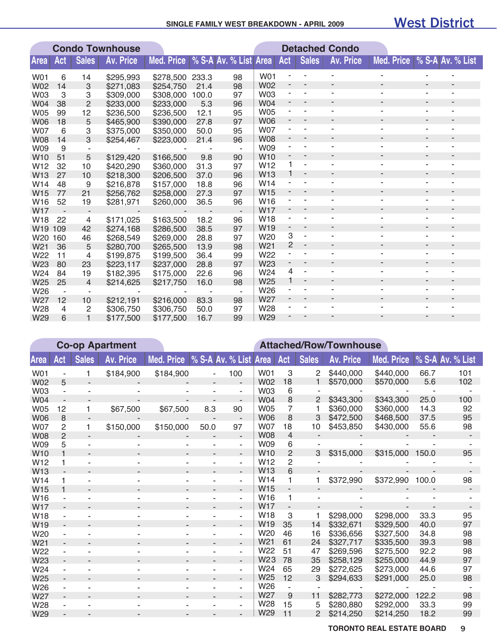#### **SINGLE FAMILY WEST BREAKDOWN - APRIL 2009**

#### West District

|                 |     |                | <b>Condo Townhouse</b> |                   |       |                       | <b>Detached Condo</b> |     |              |                          |                          |                          |                          |
|-----------------|-----|----------------|------------------------|-------------------|-------|-----------------------|-----------------------|-----|--------------|--------------------------|--------------------------|--------------------------|--------------------------|
| <b>Area</b>     | Act | <b>Sales</b>   | <b>Av. Price</b>       | <b>Med. Price</b> |       | % S-A Av. % List Area |                       | Act | <b>Sales</b> | <b>Av. Price</b>         | <b>Med. Price</b>        |                          | % S-A Av. % List         |
| W01             | 6   | 14             | \$295,993              | \$278,500         | 233.3 | 98                    | W01                   |     |              |                          |                          |                          |                          |
| <b>W02</b>      | 14  | 3              | \$271,083              | \$254,750         | 21.4  | 98                    | <b>W02</b>            | -   |              |                          |                          |                          |                          |
| <b>W03</b>      | 3   | 3              | \$309,000              | \$308,000         | 100.0 | 97                    | <b>W03</b>            |     |              |                          |                          |                          |                          |
| W04             | 38  | $\overline{2}$ | \$233,000              | \$233,000         | 5.3   | 96                    | <b>W04</b>            | ۰   |              |                          | ٠                        | $\overline{\phantom{a}}$ |                          |
| <b>W05</b>      | 99  | 12             | \$236,500              | \$236,500         | 12.1  | 95                    | <b>W05</b>            |     |              |                          | ۰                        | $\sim$                   |                          |
| <b>W06</b>      | 18  | 5              | \$465,900              | \$390,000         | 27.8  | 97                    | <b>W06</b>            |     |              |                          | ٠                        |                          |                          |
| <b>W07</b>      | 6   | 3              | \$375,000              | \$350,000         | 50.0  | 95                    | <b>W07</b>            |     |              |                          | ٠                        | ٠                        |                          |
| <b>W08</b>      | 14  | 3              | \$254,467              | \$223,000         | 21.4  | 96                    | <b>W08</b>            |     |              |                          | ٠                        | $\overline{\phantom{a}}$ |                          |
| W09             | 9   |                |                        |                   |       |                       | <b>W09</b>            |     |              |                          | ۰                        |                          |                          |
| W <sub>10</sub> | 51  | 5              | \$129,420              | \$166,500         | 9.8   | 90                    | <b>W10</b>            | -   |              | ۰                        | ٠                        |                          |                          |
| W12             | 32  | 10             | \$420,290              | \$360,000         | 31.3  | 97                    | W <sub>12</sub>       | 1   | ٠            |                          |                          | ٠                        |                          |
| W13             | 27  | 10             | \$218,300              | \$206,500         | 37.0  | 96                    | <b>W13</b>            |     | ٠            |                          | ٠                        |                          |                          |
| W14             | 48  | 9              | \$216,878              | \$157,000         | 18.8  | 96                    | W <sub>14</sub>       |     |              |                          | ٠                        | $\sim$                   | ٠                        |
| W15             | 77  | 21             | \$256,762              | \$258,000         | 27.3  | 97                    | W <sub>15</sub>       |     |              | ۰                        | ٠                        | $\overline{\phantom{a}}$ |                          |
| W16             | 52  | 19             | \$281,971              | \$260,000         | 36.5  | 96                    | W <sub>16</sub>       |     |              |                          | ٠                        |                          |                          |
| W17             |     |                |                        |                   |       |                       | <b>W17</b>            |     |              |                          | ٠                        | $\overline{\phantom{a}}$ |                          |
| W18             | 22  | 4              | \$171,025              | \$163,500         | 18.2  | 96                    | W18                   |     |              |                          | ٠                        | ٠                        |                          |
| W19             | 109 | 42             | \$274,168              | \$286,500         | 38.5  | 97                    | W19                   | -   | ٠            |                          |                          |                          |                          |
| W20             | 160 | 46             | \$268,549              | \$269,000         | 28.8  | 97                    | W <sub>20</sub>       | 3   | ÷            |                          |                          |                          |                          |
| W21             | 36  | 5              | \$280,700              | \$265,500         | 13.9  | 98                    | W <sub>21</sub>       | 2   | -            | $\overline{\phantom{a}}$ | ٠                        | $\overline{\phantom{a}}$ | $\overline{\phantom{a}}$ |
| W22             | 11  | 4              | \$199,875              | \$199,500         | 36.4  | 99                    | W22                   |     | ۰            | ۰                        | ٠                        | ÷,                       |                          |
| W23             | 80  | 23             | \$223,117              | \$237,000         | 28.8  | 97                    | W23                   |     | ٠            |                          | ٠                        | ٠                        |                          |
| W24             | 84  | 19             | \$182,395              | \$175,000         | 22.6  | 96                    | W24                   | 4   |              |                          | ۰                        |                          |                          |
| W <sub>25</sub> | 25  | $\overline{4}$ | \$214,625              | \$217,750         | 16.0  | 98                    | W25                   | 1   | ٠            | ۰                        | ٠                        | $\overline{\phantom{a}}$ | ٠                        |
| W26             |     |                |                        |                   |       | ٠                     | W26                   |     |              |                          | ۰                        |                          |                          |
| W27             | 12  | 10             | \$212,191              | \$216,000         | 83.3  | 98                    | W27                   |     |              |                          | $\overline{\phantom{a}}$ |                          | ۰                        |
| W28             | 4   | 2              | \$306,750              | \$306,750         | 50.0  | 97                    | W28                   |     |              |                          |                          |                          |                          |
| W29             | 6   |                | \$177,500              | \$177,500         | 16.7  | 99                    | W <sub>29</sub>       |     |              |                          |                          |                          |                          |

|                 |                |              | <b>Co-op Apartment</b> |                                  | <b>Attached/Row/Townhouse</b> |                          |                                    |                          |                     |                  |            |       |                  |  |
|-----------------|----------------|--------------|------------------------|----------------------------------|-------------------------------|--------------------------|------------------------------------|--------------------------|---------------------|------------------|------------|-------|------------------|--|
| <b>Area</b>     | Act            | <b>Sales</b> | <b>Av. Price</b>       | Med. Price % S-A Av. % List Area |                               |                          |                                    | Act                      | <b>Sales</b>        | <b>Av. Price</b> | Med. Price |       | % S-A Av. % List |  |
| W01             |                |              | \$184,900              | \$184,900                        |                               | 100                      | W01                                | 3                        | 2                   | \$440,000        | \$440,000  | 66.7  | 101              |  |
| <b>W02</b>      | 5              |              |                        |                                  |                               |                          | <b>W02</b>                         | 18                       |                     | \$570,000        | \$570,000  | 5.6   | 102              |  |
| <b>W03</b>      |                |              |                        |                                  |                               | ۰                        | <b>W03</b>                         | 6                        |                     |                  |            |       |                  |  |
| <b>W04</b>      |                |              |                        |                                  |                               |                          | <b>W04</b>                         | 8                        | 2                   | \$343,300        | \$343,300  | 25.0  | 100              |  |
| <b>W05</b>      | 12             | 1            | \$67,500               | \$67,500                         | 8.3                           | 90                       | <b>W05</b>                         | 7                        |                     | \$360,000        | \$360,000  | 14.3  | 92               |  |
| <b>W06</b>      | 8              |              |                        |                                  |                               |                          | <b>W06</b>                         | 8                        | 3                   | \$472,500        | \$468,500  | 37.5  | 95               |  |
| <b>W07</b>      | 2              | 1            | \$150,000              | \$150,000                        | 50.0                          | 97                       | <b>W07</b>                         | 18                       | 10                  | \$453,850        | \$430,000  | 55.6  | 98               |  |
| <b>W08</b>      | $\overline{2}$ |              |                        |                                  |                               | $\overline{\phantom{a}}$ | <b>W08</b>                         | 4                        |                     |                  |            |       |                  |  |
| <b>W09</b>      | 5              |              |                        |                                  |                               | ٠                        | W09                                | 6                        |                     |                  |            |       |                  |  |
| W <sub>10</sub> |                |              |                        |                                  |                               |                          | W <sub>10</sub>                    | $\overline{2}$           | 3                   | \$315,000        | \$315,000  | 150.0 | 95               |  |
| W <sub>12</sub> | 1              |              |                        |                                  |                               | ٠                        | W <sub>12</sub>                    | 2                        |                     |                  |            |       |                  |  |
| W13             |                |              |                        |                                  |                               |                          | W <sub>13</sub>                    | 6                        |                     |                  |            |       |                  |  |
| W14             | 1              |              |                        |                                  |                               | ۰                        | W <sub>14</sub>                    | 1                        |                     | \$372,990        | \$372,990  | 100.0 | 98               |  |
| W <sub>15</sub> |                |              |                        |                                  | $\blacksquare$                | ٠                        | W <sub>15</sub>                    |                          |                     |                  |            |       |                  |  |
| W16             |                |              |                        |                                  |                               | ÷                        | W <sub>16</sub>                    | 1                        |                     |                  |            |       |                  |  |
| <b>W17</b>      |                |              |                        |                                  |                               |                          | <b>W17</b>                         | $\overline{\phantom{a}}$ |                     |                  |            |       |                  |  |
| W18             |                |              |                        |                                  |                               | ٠                        | W <sub>18</sub>                    | 3                        |                     | \$298,000        | \$298,000  | 33.3  | 95               |  |
| W <sub>19</sub> |                |              |                        |                                  |                               |                          | W <sub>19</sub>                    | 35                       | 14                  | \$332,671        | \$329,500  | 40.0  | 97               |  |
| W20             |                |              |                        |                                  |                               | ۰                        | W20                                | 46                       | 16                  | \$336,656        | \$327,500  | 34.8  | 98               |  |
| W <sub>21</sub> | ۰.             |              |                        |                                  |                               | $\overline{\phantom{0}}$ | W <sub>21</sub>                    | 61                       | 24                  | \$327,717        | \$335,500  | 39.3  | 98               |  |
| W22             |                |              |                        |                                  |                               | ÷                        | W <sub>22</sub>                    | 51                       | 47                  | \$269,596        | \$275,500  | 92.2  | 98               |  |
| W23             |                |              |                        |                                  |                               | ٠                        | W <sub>23</sub><br>W <sub>24</sub> | 78                       | 35                  | \$258,129        | \$255,000  | 44.9  | 97               |  |
| W24             |                |              |                        |                                  |                               | ۰.                       | W <sub>25</sub>                    | 65                       | 29                  | \$272,625        | \$273,000  | 44.6  | 97               |  |
| W25             |                |              |                        |                                  |                               | ٠                        | W26                                | 12                       | 3                   | \$294,633        | \$291,000  | 25.0  | 98               |  |
| W <sub>26</sub> |                |              |                        |                                  |                               | ٠                        | W <sub>27</sub>                    |                          |                     |                  |            |       |                  |  |
| W <sub>27</sub> |                |              |                        |                                  |                               | ٠                        | W28                                | 9                        | 11                  | \$282,773        | \$272,000  | 122.2 | 98               |  |
| W28             |                |              |                        |                                  |                               | ٠                        | W <sub>29</sub>                    | 15<br>11                 | 5<br>$\overline{2}$ | \$280,880        | \$292,000  | 33.3  | 99               |  |
| W <sub>29</sub> |                |              |                        |                                  |                               |                          |                                    |                          |                     | \$214,250        | \$214,250  | 18.2  | 99               |  |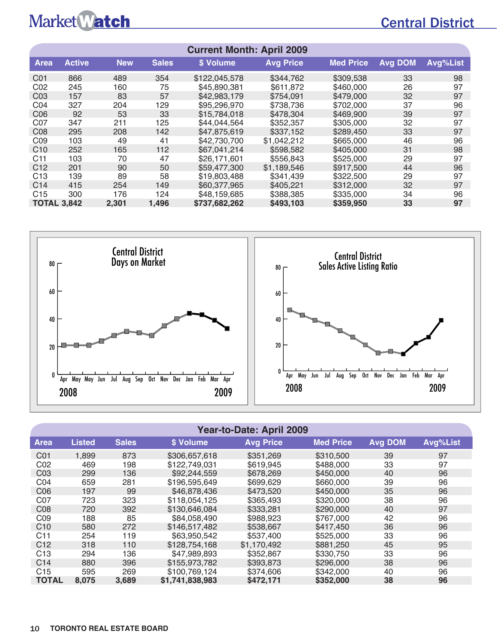## Central District

| <b>Current Month: April 2009</b> |                                                                                             |            |              |               |                  |                  |         |          |  |  |  |  |  |
|----------------------------------|---------------------------------------------------------------------------------------------|------------|--------------|---------------|------------------|------------------|---------|----------|--|--|--|--|--|
| <b>Area</b>                      | <b>Active</b>                                                                               | <b>New</b> | <b>Sales</b> | \$ Volume     | <b>Avg Price</b> | <b>Med Price</b> | Avg DOM | Avg%List |  |  |  |  |  |
| C01                              | 866                                                                                         | 489        | 354          | \$122,045,578 | \$344,762        | \$309,538        | 33      | 98       |  |  |  |  |  |
| CO <sub>2</sub>                  | 245                                                                                         | 160        | 75           | \$45,890,381  | \$611,872        | \$460,000        | 26      | 97       |  |  |  |  |  |
| CO <sub>3</sub>                  | 157                                                                                         | 83         | 57           | \$42,983,179  | \$754.091        | \$479,000        | 32      | 97       |  |  |  |  |  |
| CO <sub>4</sub>                  | 327                                                                                         | 204        | 129          | \$95,296,970  | \$738,736        | \$702,000        | 37      | 96       |  |  |  |  |  |
| C <sub>06</sub>                  | 92                                                                                          | 53         | 33           | \$15,784,018  | \$478,304        | \$469,900        | 39      | 97       |  |  |  |  |  |
| C <sub>07</sub>                  | 347                                                                                         | 211        | 125          | \$44,044,564  | \$352,357        | \$305,000        | 32      | 97       |  |  |  |  |  |
| C <sub>08</sub>                  | 295                                                                                         | 208        | 142          | \$47,875,619  | \$337,152        | \$289.450        | 33      | 97       |  |  |  |  |  |
| CO <sub>9</sub>                  | 103                                                                                         | 49         | 41           | \$42,730,700  | \$1,042,212      | \$665,000        | 46      | 96       |  |  |  |  |  |
| C <sub>10</sub>                  | 252                                                                                         | 165        | 112          | \$67,041,214  | \$598,582        | \$405,000        | 31      | 98       |  |  |  |  |  |
| C <sub>11</sub>                  | 103                                                                                         | 70         | 47           | \$26,171,601  | \$556,843        | \$525,000        | 29      | 97       |  |  |  |  |  |
| C <sub>12</sub>                  | 201                                                                                         | 90         | 50           | \$59,477,300  | \$1,189,546      | \$917,500        | 44      | 96       |  |  |  |  |  |
| C <sub>13</sub>                  | 139                                                                                         | 89         | 58           | \$19,803,488  | \$341.439        | \$322,500        | 29      | 97       |  |  |  |  |  |
| C <sub>14</sub>                  | 415                                                                                         | 254        | 149          | \$60,377,965  | \$405,221        | \$312,000        | 32      | 97       |  |  |  |  |  |
| C <sub>15</sub>                  | 300                                                                                         | 176        | 124          | \$48,159,685  | \$388,385        | \$335,000        | 34      | 96       |  |  |  |  |  |
|                                  | <b>TOTAL 3,842</b><br>1,496<br>97<br>2,301<br>\$737,682,262<br>\$493,103<br>\$359,950<br>33 |            |              |               |                  |                  |         |          |  |  |  |  |  |



#### **Year-to-Date: April 2009**

| <b>Area</b>     | <b>Listed</b> | <b>Sales</b> | \$ Volume       | <b>Avg Price</b> | <b>Med Price</b> | <b>Avg DOM</b> | Avg%List |
|-----------------|---------------|--------------|-----------------|------------------|------------------|----------------|----------|
| C <sub>01</sub> | 1,899         | 873          | \$306,657,618   | \$351,269        | \$310,500        | 39             | 97       |
| C02             | 469           | 198          | \$122,749,031   | \$619.945        | \$488,000        | 33             | 97       |
| CO <sub>3</sub> | 299           | 136          | \$92,244,559    | \$678.269        | \$450,000        | 40             | 96       |
| CO <sub>4</sub> | 659           | 281          | \$196,595,649   | \$699,629        | \$660,000        | 39             | 96       |
| C <sub>06</sub> | 197           | 99           | \$46,878,436    | \$473.520        | \$450,000        | 35             | 96       |
| C07             | 723           | 323          | \$118,054,125   | \$365.493        | \$320,000        | 38             | 96       |
| C <sub>08</sub> | 720           | 392          | \$130,646,084   | \$333,281        | \$290,000        | 40             | 97       |
| CO9             | 188           | 85           | \$84,058,490    | \$988.923        | \$767,000        | 42             | 96       |
| C10             | 580           | 272          | \$146,517,482   | \$538,667        | \$417.450        | 36             | 96       |
| C <sub>11</sub> | 254           | 119          | \$63,950,542    | \$537,400        | \$525,000        | 33             | 96       |
| C <sub>12</sub> | 318           | 110          | \$128,754,168   | \$1,170,492      | \$881,250        | 45             | 95       |
| C <sub>13</sub> | 294           | 136          | \$47,989,893    | \$352,867        | \$330,750        | 33             | 96       |
| C <sub>14</sub> | 880           | 396          | \$155,973,782   | \$393,873        | \$296,000        | 38             | 96       |
| C <sub>15</sub> | 595           | 269          | \$100.769.124   | \$374,606        | \$342,000        | 40             | 96       |
| <b>TOTAL</b>    | 8,075         | 3,689        | \$1,741,838,983 | \$472.171        | \$352,000        | 38             | 96       |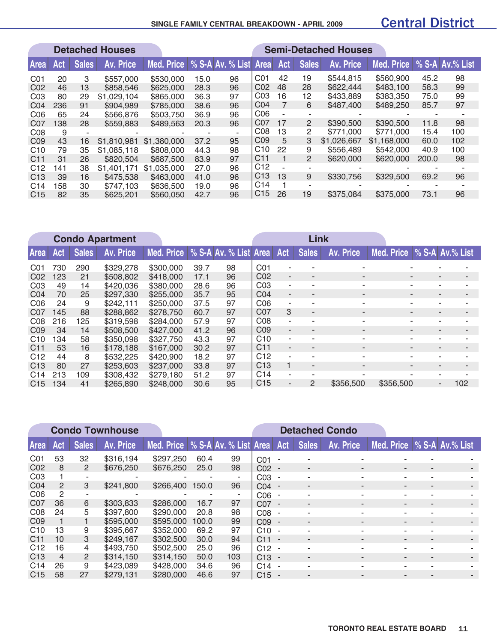#### **SINGLE FAMILY CENTRAL BREAKDOWN - APRIL 2009**

### Central District

|                 |     |              | <b>Detached Houses</b> |             |      |                       |                 |             |                | <b>Semi-Detached Houses</b> |             |       |                 |
|-----------------|-----|--------------|------------------------|-------------|------|-----------------------|-----------------|-------------|----------------|-----------------------------|-------------|-------|-----------------|
| Area            | Act | <b>Sales</b> | Av. Price              | Med. Price  |      | % S-A Av. % List Area |                 | Act         | <b>Sales</b>   | Av. Price                   | Med. Price  |       | % S-A Av.% List |
| CO <sub>1</sub> | 20  | 3            | \$557,000              | \$530,000   | 15.0 | 96                    | C <sub>01</sub> | 42          | 19             | \$544.815                   | \$560,900   | 45.2  | 98              |
| C <sub>02</sub> | 46  | 13           | \$858,546              | \$625,000   | 28.3 | 96                    | C <sub>02</sub> | 48          | 28             | \$622,444                   | \$483,100   | 58.3  | 99              |
| CO <sub>3</sub> | 80  | 29           | \$1.029.104            | \$865,000   | 36.3 | 97                    | CO <sub>3</sub> | 16          | 12             | \$433,889                   | \$383,350   | 75.0  | 99              |
| CO <sub>4</sub> | 236 | 91           | \$904,989              | \$785,000   | 38.6 | 96                    | CO <sub>4</sub> | 7           | 6              | \$487,400                   | \$489,250   | 85.7  | 97              |
| C <sub>06</sub> | 65  | 24           | \$566,876              | \$503,750   | 36.9 | 96                    | CO6             |             |                |                             |             |       |                 |
| CO <sub>7</sub> | 138 | 28           | \$559,883              | \$489,563   | 20.3 | 96                    | C07             | 17          | $\overline{2}$ | \$390,500                   | \$390,500   | 11.8  | 98              |
| C <sub>08</sub> | 9   |              |                        |             |      | $\sim$                | CO8             | 13          | $\overline{2}$ | \$771,000                   | \$771,000   | 15.4  | 100             |
| CO <sub>9</sub> | 43  | 16           | \$1,810,981            | \$1,380,000 | 37.2 | 95                    | CO9             | 5           | 3              | \$1,026,667                 | \$1,168,000 | 60.0  | 102             |
| C <sub>10</sub> | 79  | 35           | \$1.085.118            | \$808,000   | 44.3 | 98                    | C <sub>10</sub> | 22          | 9              | \$556,489                   | \$542,000   | 40.9  | 100             |
| C <sub>11</sub> | 31  | 26           | \$820,504              | \$687,500   | 83.9 | 97                    | C <sub>11</sub> | $\mathbf 1$ | 2              | \$620,000                   | \$620,000   | 200.0 | 98              |
| C <sub>12</sub> | 141 | 38           | \$1,401,171            | \$1,035,000 | 27.0 | 96                    | C <sub>12</sub> |             |                |                             |             |       |                 |
| C <sub>13</sub> | 39  | 16           | \$475,538              | \$463,000   | 41.0 | 96                    | C <sub>13</sub> | 13          | 9              | \$330,756                   | \$329,500   | 69.2  | 96              |
| C <sub>14</sub> | 158 | 30           | \$747,103              | \$636,500   | 19.0 | 96                    | C <sub>14</sub> |             |                |                             |             |       |                 |
| C <sub>15</sub> | 82  | 35           | \$625,201              | \$560,050   | 42.7 | 96                    | C <sub>15</sub> | 26          | 19             | \$375,084                   | \$375,000   | 73.1  | 96              |

|                 | <b>Condo Apartment</b> |              |                  |            |      |                       |                 | <b>Link</b> |                          |                          |                          |  |                          |
|-----------------|------------------------|--------------|------------------|------------|------|-----------------------|-----------------|-------------|--------------------------|--------------------------|--------------------------|--|--------------------------|
| <b>Area</b>     | <b>Act</b>             | <b>Sales</b> | <b>Av. Price</b> | Med. Price |      | % S-A Av. % List Area |                 | Act         | <b>Sales</b>             | Av. Price                | Med. Price               |  | <b>S-A Av.% List</b>     |
| CO <sub>1</sub> | 730                    | 290          | \$329,278        | \$300,000  | 39.7 | 98                    | CO <sub>1</sub> | ۰           |                          | $\overline{\phantom{a}}$ |                          |  | ۰                        |
| CO <sub>2</sub> | 123                    | 21           | \$508,802        | \$418,000  | 17.1 | 96                    | CO <sub>2</sub> | ٠           | $\overline{\phantom{0}}$ | $\blacksquare$           | $\overline{\phantom{a}}$ |  | $\overline{\phantom{a}}$ |
| CO <sub>3</sub> | 49                     | 14           | \$420,036        | \$380,000  | 28.6 | 96                    | CO <sub>3</sub> | ۰           | ۰                        | $\overline{\phantom{a}}$ |                          |  | $\blacksquare$           |
| CO <sub>4</sub> | 70                     | 25           | \$297,330        | \$255,000  | 35.7 | 95                    | CO <sub>4</sub> | ۰.          | $\overline{\phantom{a}}$ | $\blacksquare$           | ٠                        |  | $\overline{\phantom{a}}$ |
| C <sub>06</sub> | 24                     | 9            | \$242,111        | \$250,000  | 37.5 | 97                    | CO6             | ٠           | $\blacksquare$           | $\blacksquare$           |                          |  | ۰.                       |
| C07             | 145                    | 88           | \$288,862        | \$278,750  | 60.7 | 97                    | C07             | 3           | $\sim$                   | $\blacksquare$           |                          |  | ٠                        |
| C <sub>08</sub> | 216                    | 125          | \$319,598        | \$284,000  | 57.9 | 97                    | CO8             | ٠           | $\overline{\phantom{a}}$ | $\blacksquare$           | ٠                        |  | ۰.                       |
| C <sub>09</sub> | 34                     | 14           | \$508,500        | \$427,000  | 41.2 | 96                    | C <sub>09</sub> | ٠           | $\blacksquare$           | ۰                        |                          |  | $\overline{\phantom{a}}$ |
| C <sub>10</sub> | 134                    | 58           | \$350,098        | \$327,750  | 43.3 | 97                    | C10             | ٠           | ٠                        | ۰                        | $\overline{\phantom{a}}$ |  | ۰.                       |
| C <sub>11</sub> | 53                     | 16           | \$178,188        | \$167,000  | 30.2 | 97                    | C <sub>11</sub> | ٠           | $\blacksquare$           | $\blacksquare$           | $\sim$                   |  | $\overline{\phantom{a}}$ |
| C <sub>12</sub> | 44                     | 8            | \$532,225        | \$420,900  | 18.2 | 97                    | C <sub>12</sub> | ٠           | $\overline{\phantom{a}}$ | $\overline{\phantom{a}}$ |                          |  | ٠                        |
| C <sub>13</sub> | 80                     | 27           | \$253,603        | \$237,000  | 33.8 | 97                    | C <sub>13</sub> |             | $\blacksquare$           | $\overline{\phantom{a}}$ |                          |  | $\overline{\phantom{a}}$ |
| C <sub>14</sub> | 213                    | 109          | \$308,432        | \$279.180  | 51.2 | 97                    | C <sub>14</sub> | ٠           | ۰                        |                          |                          |  | ٠                        |
| C <sub>15</sub> | 134                    | 41           | \$265,890        | \$248,000  | 30.6 | 95                    | C <sub>15</sub> | ٠           | $\mathcal{P}$            | \$356,500                | \$356,500                |  | 102<br>$\sim$            |

|                 | <b>Condo Townhouse</b> |                |           |                                          |       |     | <b>Detached Condo</b> |                          |                          |                          |                            |   |  |
|-----------------|------------------------|----------------|-----------|------------------------------------------|-------|-----|-----------------------|--------------------------|--------------------------|--------------------------|----------------------------|---|--|
| <b>Area</b>     | Act                    | <b>Sales</b>   | Av. Price | Med. Price   % S-A Av. % List Area   Act |       |     |                       |                          | <b>Sales</b>             | Av. Price                | Med. Price % S-A Av.% List |   |  |
| CO <sub>1</sub> | 53                     | 32             | \$316,194 | \$297,250                                | 60.4  | 99  | CO <sub>1</sub>       | $\sim$                   |                          |                          |                            |   |  |
| C <sub>02</sub> | 8                      | 2              | \$676,250 | \$676,250                                | 25.0  | 98  | $CO2 -$               |                          |                          | $\overline{\phantom{a}}$ | ٠                          | ۰ |  |
| CO <sub>3</sub> |                        | ۰              | ۰         | ۰                                        | ٠     | ۰   | CO <sub>3</sub>       | $\sim$                   | ٠                        | ۰                        | -                          | ۰ |  |
| CO <sub>4</sub> | $\mathcal{P}$          | 3              | \$241,800 | \$266,400                                | 150.0 | 96  | $CO4 -$               |                          | $\overline{\phantom{a}}$ | $\blacksquare$           | ٠                          | - |  |
| C <sub>06</sub> | $\mathcal{P}$          |                |           |                                          |       | ٠   | C <sub>06</sub>       |                          |                          | $\overline{\phantom{a}}$ |                            |   |  |
| C <sub>07</sub> | 36                     | 6              | \$303,833 | \$286,000                                | 16.7  | 97  | C07                   |                          | $\overline{\phantom{a}}$ | $\blacksquare$           | ٠                          |   |  |
| C <sub>08</sub> | 24                     | 5              | \$397,800 | \$290,000                                | 20.8  | 98  | CO8                   |                          | $\overline{a}$           | ٠                        |                            |   |  |
| C <sub>09</sub> |                        |                | \$595,000 | \$595,000                                | 100.0 | 99  | CO9                   |                          | $\overline{\phantom{a}}$ | $\blacksquare$           | $\overline{a}$             |   |  |
| C <sub>10</sub> | 13                     | 9              | \$395,667 | \$352,000                                | 69.2  | 97  | C10                   | ٠                        | ۰                        | ٠                        |                            |   |  |
| C <sub>11</sub> | 10                     | 3              | \$249,167 | \$302,500                                | 30.0  | 94  | C <sub>11</sub>       |                          | $\overline{\phantom{a}}$ | $\blacksquare$           |                            |   |  |
| C <sub>12</sub> | 16                     | 4              | \$493.750 | \$502,500                                | 25.0  | 96  | C12                   | $\overline{\phantom{a}}$ |                          | $\overline{\phantom{a}}$ |                            |   |  |
| C <sub>13</sub> | 4                      | $\overline{2}$ | \$314,150 | \$314.150                                | 50.0  | 103 | C <sub>13</sub>       | . —                      | $\overline{\phantom{a}}$ | $\blacksquare$           | $\overline{\phantom{a}}$   | - |  |
| C <sub>14</sub> | 26                     | 9              | \$423,089 | \$428,000                                | 34.6  | 96  | C <sub>14</sub>       | $\sim$                   | ۰                        | ۰                        | $\overline{\phantom{a}}$   | - |  |
| C <sub>15</sub> | 58                     | 27             | \$279,131 | \$280,000                                | 46.6  | 97  | $C15 -$               |                          | $\overline{\phantom{a}}$ | $\blacksquare$           |                            |   |  |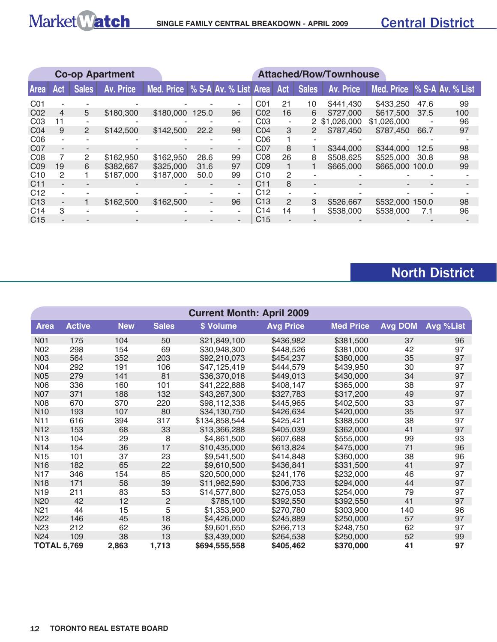### Central District

|                 |     |              | <b>Co-op Apartment</b> |                                    | <b>Attached/Row/Townhouse</b> |                |                 |                |                          |               |                             |      |     |  |
|-----------------|-----|--------------|------------------------|------------------------------------|-------------------------------|----------------|-----------------|----------------|--------------------------|---------------|-----------------------------|------|-----|--|
| Area            | Act | <b>Sales</b> | Av. Price              | Med. Price   % S-A Av. % List Area |                               |                |                 | Act            | <b>Sales</b>             | Av. Price     | Med. Price % S-A Av. % List |      |     |  |
| C01             |     |              |                        |                                    |                               |                | C01             | 21             | 10                       | \$441.430     | \$433,250                   | 47.6 | 99  |  |
| C <sub>02</sub> | 4   | 5            | \$180,300              | \$180,000                          | 125.0                         | 96             | CO <sub>2</sub> | 16             | 6                        | \$727,000     | \$617,500                   | 37.5 | 100 |  |
| CO <sub>3</sub> | 11  |              |                        |                                    |                               | ۰              | CO <sub>3</sub> | ٠              |                          | 2 \$1,026,000 | \$1,026,000                 |      | 96  |  |
| CO <sub>4</sub> | 9   | 2            | \$142,500              | \$142,500                          | 22.2                          | 98             | CO <sub>4</sub> | 3              | 2                        | \$787,450     | \$787,450                   | 66.7 | 97  |  |
| CO6             |     |              |                        |                                    |                               | ٠              | CO6             |                | $\overline{\phantom{a}}$ |               |                             |      |     |  |
| C <sub>07</sub> |     |              |                        |                                    |                               | ۰.             | C <sub>07</sub> | 8              |                          | \$344,000     | \$344,000                   | 12.5 | 98  |  |
| CO8             | 7   | 2            | \$162,950              | \$162,950                          | 28.6                          | 99             | CO8             | 26             | 8                        | \$508,625     | \$525,000                   | 30.8 | 98  |  |
| C <sub>09</sub> | 19  | 6            | \$382,667              | \$325,000                          | 31.6                          | 97             | CO <sub>9</sub> |                |                          | \$665,000     | \$665,000 100.0             |      | 99  |  |
| C10             | 2   |              | \$187,000              | \$187,000                          | 50.0                          | 99             | C <sub>10</sub> | 2              |                          |               |                             |      |     |  |
| C <sub>11</sub> |     |              |                        |                                    |                               | $\blacksquare$ | C11             | 8              | $\overline{\phantom{a}}$ |               |                             |      |     |  |
| C <sub>12</sub> |     |              |                        |                                    |                               | ٠              | C <sub>12</sub> | $\blacksquare$ |                          |               |                             |      |     |  |
| C <sub>13</sub> | ٠   |              | \$162,500              | \$162,500                          | $\sim$                        | 96             | C <sub>13</sub> | $\mathcal{P}$  | 3                        | \$526,667     | \$532,000 150.0             |      | 98  |  |
| C <sub>14</sub> | 3   |              | ۰                      |                                    | ۰                             | ۰.             | C <sub>14</sub> | 14             |                          | \$538,000     | \$538,000                   | 7.1  | 96  |  |
| C <sub>15</sub> |     |              |                        |                                    | -                             | ۰              | C <sub>15</sub> |                |                          |               |                             |      |     |  |

## North District

|                 | <b>Current Month: April 2009</b>     |            |                |               |                  |                  |                |           |  |  |  |  |  |
|-----------------|--------------------------------------|------------|----------------|---------------|------------------|------------------|----------------|-----------|--|--|--|--|--|
| <b>Area</b>     | <b>Active</b>                        | <b>New</b> | <b>Sales</b>   | \$ Volume     | <b>Avg Price</b> | <b>Med Price</b> | <b>Avg DOM</b> | Avg %List |  |  |  |  |  |
| N01             | 175                                  | 104        | 50             | \$21,849,100  | \$436,982        | \$381,500        | 37             | 96        |  |  |  |  |  |
| N02             | 298                                  | 154        | 69             | \$30,948,300  | \$448,526        | \$381,000        | 42             | 97        |  |  |  |  |  |
| N <sub>03</sub> | 564                                  | 352        | 203            | \$92,210,073  | \$454,237        | \$380,000        | 35             | 97        |  |  |  |  |  |
| N04             | 292                                  | 191        | 106            | \$47,125,419  | \$444,579        | \$439,950        | 30             | 97        |  |  |  |  |  |
| N05             | 279                                  | 141        | 81             | \$36,370,018  | \$449,013        | \$430,000        | 34             | 97        |  |  |  |  |  |
| N06             | 336                                  | 160        | 101            | \$41,222,888  | \$408,147        | \$365,000        | 38             | 97        |  |  |  |  |  |
| N07             | 371                                  | 188        | 132            | \$43,267,300  | \$327,783        | \$317,200        | 49             | 97        |  |  |  |  |  |
| <b>N08</b>      | 670                                  | 370        | 220            | \$98,112,338  | \$445,965        | \$402,500        | 33             | 97        |  |  |  |  |  |
| N <sub>10</sub> | 193                                  | 107        | 80             | \$34,130,750  | \$426,634        | \$420,000        | 35             | 97        |  |  |  |  |  |
| N <sub>1</sub>  | 616                                  | 394        | 317            | \$134,858,544 | \$425,421        | \$388,500        | 38             | 97        |  |  |  |  |  |
| N <sub>12</sub> | 153                                  | 68         | 33             | \$13,366,288  | \$405,039        | \$362,000        | 41             | 97        |  |  |  |  |  |
| N <sub>13</sub> | 104                                  | 29         | 8              | \$4,861,500   | \$607,688        | \$555,000        | 99             | 93        |  |  |  |  |  |
| N <sub>14</sub> | 154                                  | 36         | 17             | \$10,435,000  | \$613,824        | \$475,000        | 71             | 96        |  |  |  |  |  |
| N <sub>15</sub> | 101                                  | 37         | 23             | \$9,541,500   | \$414,848        | \$360,000        | 38             | 96        |  |  |  |  |  |
| N <sub>16</sub> | 182                                  | 65         | 22             | \$9,610,500   | \$436,841        | \$331,500        | 41             | 97        |  |  |  |  |  |
| <b>N17</b>      | 346                                  | 154        | 85             | \$20,500,000  | \$241,176        | \$232,000        | 46             | 97        |  |  |  |  |  |
| N <sub>18</sub> | 171                                  | 58         | 39             | \$11,962,590  | \$306,733        | \$294,000        | 44             | 97        |  |  |  |  |  |
| N <sub>19</sub> | 211                                  | 83         | 53             | \$14,577,800  | \$275,053        | \$254,000        | 79             | 97        |  |  |  |  |  |
| N20             | 42                                   | 12         | $\overline{2}$ | \$785,100     | \$392,550        | \$392,550        | 41             | 97        |  |  |  |  |  |
| N <sub>21</sub> | 44                                   | 15         | 5              | \$1,353,900   | \$270,780        | \$303,900        | 140            | 96        |  |  |  |  |  |
| <b>N22</b>      | 146                                  | 45         | 18             | \$4,426,000   | \$245,889        | \$250,000        | 57             | 97        |  |  |  |  |  |
| N <sub>23</sub> | 212                                  | 62         | 36             | \$9,601,650   | \$266,713        | \$248,750        | 62             | 97        |  |  |  |  |  |
| <b>N24</b>      | 109                                  | 38         | 13             | \$3,439,000   | \$264,538        | \$250,000        | 52             | 99        |  |  |  |  |  |
|                 | <b>TOTAL 5,769</b><br>2,863<br>1,713 |            | \$694,555,558  | \$405,462     | \$370,000        | 41               | 97             |           |  |  |  |  |  |

Market Watch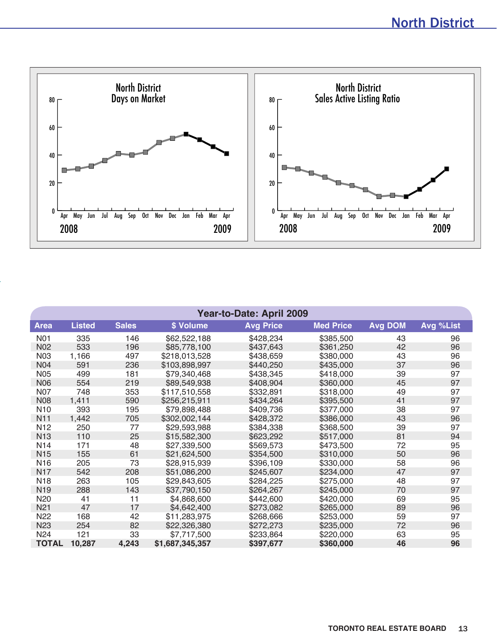

| Year-to-Date: April 2009 |               |              |                 |                  |                  |                |           |  |  |  |  |  |
|--------------------------|---------------|--------------|-----------------|------------------|------------------|----------------|-----------|--|--|--|--|--|
| <b>Area</b>              | <b>Listed</b> | <b>Sales</b> | \$ Volume       | <b>Avg Price</b> | <b>Med Price</b> | <b>Avg DOM</b> | Avg %List |  |  |  |  |  |
| N01                      | 335           | 146          | \$62,522,188    | \$428,234        | \$385,500        | 43             | 96        |  |  |  |  |  |
| <b>N02</b>               | 533           | 196          | \$85,778,100    | \$437,643        | \$361,250        | 42             | 96        |  |  |  |  |  |
| <b>N03</b>               | 1,166         | 497          | \$218,013,528   | \$438,659        | \$380,000        | 43             | 96        |  |  |  |  |  |
| N <sub>04</sub>          | 591           | 236          | \$103,898,997   | \$440,250        | \$435,000        | 37             | 96        |  |  |  |  |  |
| <b>N05</b>               | 499           | 181          | \$79,340,468    | \$438,345        | \$418,000        | 39             | 97        |  |  |  |  |  |
| <b>N06</b>               | 554           | 219          | \$89,549,938    | \$408,904        | \$360,000        | 45             | 97        |  |  |  |  |  |
| <b>N07</b>               | 748           | 353          | \$117,510,558   | \$332,891        | \$318,000        | 49             | 97        |  |  |  |  |  |
| <b>N08</b>               | 1,411         | 590          | \$256,215,911   | \$434,264        | \$395,500        | 41             | 97        |  |  |  |  |  |
| N <sub>10</sub>          | 393           | 195          | \$79,898,488    | \$409,736        | \$377,000        | 38             | 97        |  |  |  |  |  |
| <b>N11</b>               | 1,442         | 705          | \$302,002,144   | \$428,372        | \$386,000        | 43             | 96        |  |  |  |  |  |
| N <sub>12</sub>          | 250           | 77           | \$29,593,988    | \$384,338        | \$368,500        | 39             | 97        |  |  |  |  |  |
| <b>N13</b>               | 110           | 25           | \$15,582,300    | \$623,292        | \$517,000        | 81             | 94        |  |  |  |  |  |
| N <sub>14</sub>          | 171           | 48           | \$27,339,500    | \$569,573        | \$473,500        | 72             | 95        |  |  |  |  |  |
| N <sub>15</sub>          | 155           | 61           | \$21,624,500    | \$354,500        | \$310,000        | 50             | 96        |  |  |  |  |  |
| N <sub>16</sub>          | 205           | 73           | \$28,915,939    | \$396,109        | \$330,000        | 58             | 96        |  |  |  |  |  |
| <b>N17</b>               | 542           | 208          | \$51,086,200    | \$245,607        | \$234,000        | 47             | 97        |  |  |  |  |  |
| <b>N18</b>               | 263           | 105          | \$29,843,605    | \$284,225        | \$275,000        | 48             | 97        |  |  |  |  |  |
| N <sub>19</sub>          | 288           | 143          | \$37,790,150    | \$264,267        | \$245,000        | 70             | 97        |  |  |  |  |  |
| N <sub>20</sub>          | 41            | 11           | \$4,868,600     | \$442,600        | \$420,000        | 69             | 95        |  |  |  |  |  |
| N <sub>21</sub>          | 47            | 17           | \$4,642,400     | \$273,082        | \$265,000        | 89             | 96        |  |  |  |  |  |
| N <sub>22</sub>          | 168           | 42           | \$11,283,975    | \$268,666        | \$253,000        | 59             | 97        |  |  |  |  |  |
| N <sub>23</sub>          | 254           | 82           | \$22,326,380    | \$272,273        | \$235,000        | 72             | 96        |  |  |  |  |  |
| N <sub>24</sub>          | 121           | 33           | \$7,717,500     | \$233,864        | \$220,000        | 63             | 95        |  |  |  |  |  |
| <b>TOTAL</b>             | 10,287        | 4,243        | \$1,687,345,357 | \$397,677        | \$360,000        | 46             | 96        |  |  |  |  |  |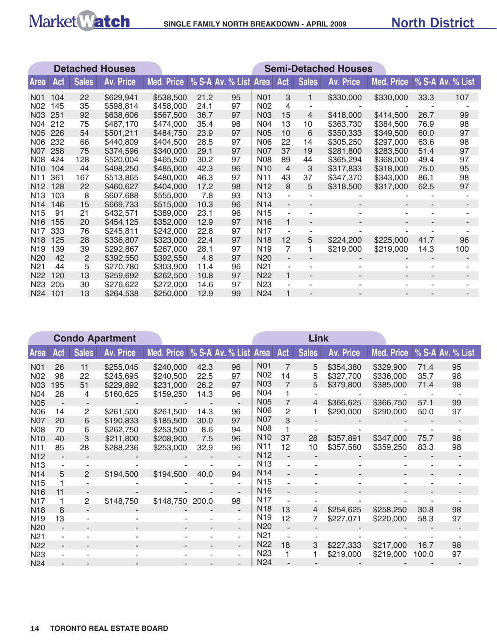

|                  |     |              | <b>Detached Houses</b> | <b>Semi-Detached Houses</b> |      |                           |                  |                          |                          |                  |                   |      |                  |  |
|------------------|-----|--------------|------------------------|-----------------------------|------|---------------------------|------------------|--------------------------|--------------------------|------------------|-------------------|------|------------------|--|
| <b>Area</b>      | Act | <b>Sales</b> | <b>Av. Price</b>       | Med. Price                  |      | % S-A Av. % List Area Act |                  |                          | <b>Sales</b>             | <b>Av. Price</b> | <b>Med. Price</b> |      | % S-A Av. % List |  |
| N <sub>0</sub> 1 | 104 | 22           | \$629,941              | \$538,500                   | 21.2 | 95                        | <b>N01</b>       | 3                        |                          | \$330,000        | \$330,000         | 33.3 | 107              |  |
| N02              | 145 | 35           | \$598,814              | \$458,000                   | 24.1 | 97                        | N <sub>02</sub>  | 4                        |                          |                  |                   |      |                  |  |
| <b>N03</b>       | 251 | 92           | \$638,606              | \$567,500                   | 36.7 | 97                        | <b>N03</b>       | 15                       | 4                        | \$418,000        | \$414,500         | 26.7 | 99               |  |
| N04              | 212 | 75           | \$487,170              | \$474,000                   | 35.4 | 98                        | <b>N04</b>       | 13                       | 10                       | \$363,730        | \$384,500         | 76.9 | 98               |  |
| <b>N05</b>       | 226 | 54           | \$501,211              | \$484,750                   | 23.9 | 97                        | <b>N05</b>       | 10                       | 6                        | \$350,333        | \$349,500         | 60.0 | 97               |  |
| N06              | 232 | 66           | \$440,809              | \$404,500                   | 28.5 | 97                        | <b>N06</b>       | 22                       | 14                       | \$305,250        | \$297,000         | 63.6 | 98               |  |
| <b>N07</b>       | 258 | 75           | \$374,596              | \$340,000                   | 29.1 | 97                        | <b>N07</b>       | 37                       | 19                       | \$281,800        | \$283,500         | 51.4 | 97               |  |
| <b>N08</b>       | 424 | 128          | \$520,004              | \$465,500                   | 30.2 | 97                        | <b>N08</b>       | 89                       | 44                       | \$365,294        | \$368,000         | 49.4 | 97               |  |
| N <sub>10</sub>  | 104 | 44           | \$498,250              | \$485,000                   | 42.3 | 96                        | <b>N10</b>       | $\overline{4}$           | 3                        | \$317,833        | \$318,000         | 75.0 | 95               |  |
| N <sub>11</sub>  | 361 | 167          | \$513,865              | \$480,000                   | 46.3 | 97                        | N <sub>1</sub> 1 | 43                       | 37                       | \$347,370        | \$343,000         | 86.1 | 98               |  |
| N <sub>12</sub>  | 128 | 22           | \$460,627              | \$404,000                   | 17.2 | 98                        | N <sub>12</sub>  | 8                        | 5                        | \$318,500        | \$317,000         | 62.5 | 97               |  |
| N <sub>13</sub>  | 103 | 8            | \$607,688              | \$555,000                   | 7.8  | 93                        | N <sub>13</sub>  | $\blacksquare$           |                          |                  |                   |      |                  |  |
| N <sub>14</sub>  | 146 | 15           | \$669,733              | \$515,000                   | 10.3 | 96                        | <b>N14</b>       | $\overline{\phantom{a}}$ |                          |                  |                   |      |                  |  |
| N <sub>15</sub>  | 91  | 21           | \$432,571              | \$389,000                   | 23.1 | 96                        | N <sub>15</sub>  | $\overline{\phantom{a}}$ |                          |                  |                   |      |                  |  |
| <b>N16</b>       | 155 | 20           | \$454,125              | \$352,000                   | 12.9 | 97                        | N <sub>16</sub>  | 1                        | $\overline{\phantom{a}}$ |                  |                   |      |                  |  |
| N <sub>17</sub>  | 333 | 76           | \$245,811              | \$242,000                   | 22.8 | 97                        | <b>N17</b>       | $\blacksquare$           |                          |                  |                   |      |                  |  |
| N <sub>18</sub>  | 125 | 28           | \$336,807              | \$323,000                   | 22.4 | 97                        | N <sub>18</sub>  | 12                       | 5                        | \$224,200        | \$225,000         | 41.7 | 96               |  |
| N <sub>19</sub>  | 139 | 39           | \$292,867              | \$267,000                   | 28.1 | 97                        | N <sub>19</sub>  | $\overline{7}$           |                          | \$219,000        | \$219,000         | 14.3 | 100              |  |
| N <sub>20</sub>  | 42  | $\mathbf{2}$ | \$392,550              | \$392,550                   | 4.8  | 97                        | <b>N20</b>       | $\overline{a}$           |                          |                  |                   |      |                  |  |
| N <sub>21</sub>  | 44  | 5            | \$270,780              | \$303,900                   | 11.4 | 96                        | N <sub>21</sub>  | ä,                       |                          |                  |                   |      |                  |  |
| <b>N22</b>       | 120 | 13           | \$259,692              | \$262,500                   | 10.8 | 97                        | N <sub>22</sub>  | $\mathbf{1}$             | $\overline{\phantom{a}}$ | ٠                | ٠                 | ٠    |                  |  |
| N <sub>23</sub>  | 205 | 30           | \$276,622              | \$272,000                   | 14.6 | 97                        | N <sub>23</sub>  | $\blacksquare$           |                          | ٠                | ۰                 |      |                  |  |
| N24              | 101 | 13           | \$264,538              | \$250,000                   | 12.9 | 99                        | <b>N24</b>       |                          |                          |                  |                   |      |                  |  |

|                 | <b>Condo Apartment</b>   |                       |                  |            |                          |                          |                 |                          | Link         |                  |                   |       |                  |
|-----------------|--------------------------|-----------------------|------------------|------------|--------------------------|--------------------------|-----------------|--------------------------|--------------|------------------|-------------------|-------|------------------|
| <b>Area</b>     | Act                      | <b>Sales</b>          | <b>Av. Price</b> | Med. Price |                          | % S-A Av. % List Area    |                 | Act                      | <b>Sales</b> | <b>Av. Price</b> | <b>Med. Price</b> |       | % S-A Av. % List |
| <b>N01</b>      | 26                       | 11                    | \$255,045        | \$240,000  | 42.3                     | 96                       | <b>N01</b>      | $\overline{7}$           | 5            | \$354,380        | \$329,900         | 71.4  | 95               |
| N <sub>02</sub> | 98                       | 22                    | \$245,695        | \$240,500  | 22.5                     | 97                       | N <sub>02</sub> | 14                       | 5            | \$327,700        | \$336,000         | 35.7  | 98               |
| N <sub>03</sub> | 195                      | 51                    | \$229,892        | \$231,000  | 26.2                     | 97                       | <b>N03</b>      | $\overline{7}$           | 5            | \$379,800        | \$385,000         | 71.4  | 98               |
| N <sub>04</sub> | 28                       | 4                     | \$160,625        | \$159,250  | 14.3                     | 96                       | <b>N04</b>      |                          |              |                  |                   |       |                  |
| <b>N05</b>      |                          |                       |                  |            |                          |                          | <b>N05</b>      | 7                        | 4            | \$366,625        | \$366,750         | 57.1  | 99               |
| <b>N06</b>      | 14                       | 2                     | \$261,500        | \$261,500  | 14.3                     | 96                       | <b>N06</b>      | 2                        | 1            | \$290,000        | \$290,000         | 50.0  | 97               |
| <b>N07</b>      | 20                       | 6                     | \$190,833        | \$185,500  | 30.0                     | 97                       | <b>N07</b>      | 3                        |              |                  |                   |       |                  |
| <b>N08</b>      | 70                       | 6                     | \$262,750        | \$253,500  | 8.6                      | 94                       | <b>N08</b>      |                          |              |                  |                   |       |                  |
| N <sub>10</sub> | 40                       | 3                     | \$211,800        | \$208,900  | 7.5                      | 96                       | <b>N10</b>      | 37                       | 28           | \$357,891        | \$347,000         | 75.7  | 98               |
| N <sub>11</sub> | 85                       | 28                    | \$288,236        | \$253,000  | 32.9                     | 96                       | N <sub>11</sub> | 12                       | 10           | \$357,580        | \$359,250         | 83.3  | 98               |
| N <sub>12</sub> |                          |                       |                  |            |                          | ٠.                       | N <sub>12</sub> |                          |              |                  |                   |       |                  |
| N <sub>13</sub> |                          |                       |                  |            |                          |                          | N <sub>13</sub> |                          |              |                  |                   |       |                  |
| N <sub>14</sub> | 5                        | 2                     | \$194,500        | \$194,500  | 40.0                     | 94                       | N14             | $\overline{a}$           |              |                  |                   |       |                  |
| N <sub>15</sub> |                          |                       |                  |            |                          |                          | N <sub>15</sub> |                          |              |                  |                   |       |                  |
| N <sub>16</sub> | 11                       |                       |                  |            |                          |                          | N <sub>16</sub> | $\overline{\phantom{a}}$ |              |                  |                   |       |                  |
| N <sub>17</sub> |                          | $\mathbf{2}^{\prime}$ | \$148,750        | \$148,750  | 200.0                    | 98                       | N <sub>17</sub> |                          |              |                  |                   |       |                  |
| N <sub>18</sub> | 8                        |                       |                  |            |                          | ۰                        | N <sub>18</sub> | 13                       | 4            | \$254,625        | \$258,250         | 30.8  | 98               |
| N <sub>19</sub> | 13                       |                       |                  |            |                          | ÷                        | N <sub>19</sub> | 12                       | 7            | \$227,071        | \$220,000         | 58.3  | 97               |
| N20             |                          |                       |                  |            |                          | ٠.                       | N <sub>20</sub> |                          |              |                  |                   |       |                  |
| N <sub>21</sub> |                          |                       |                  |            |                          | ٠                        | N <sub>21</sub> |                          |              |                  |                   |       |                  |
| <b>N22</b>      | $\overline{\phantom{a}}$ |                       |                  |            | $\overline{\phantom{a}}$ | $\overline{\phantom{a}}$ | <b>N22</b>      | 18                       | 3            | \$227,333        | \$217,000         | 16.7  | 98               |
| N <sub>23</sub> |                          |                       |                  |            | ۰                        | ٠.                       | N <sub>23</sub> |                          | 1            | \$219,000        | \$219,000         | 100.0 | 97               |
| N24             |                          |                       |                  |            |                          |                          | N <sub>24</sub> |                          |              |                  |                   |       |                  |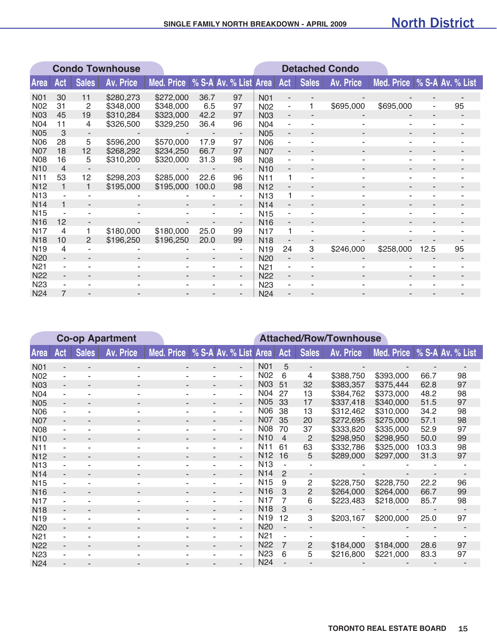|                 | <b>Condo Townhouse</b> |                          |                  |                                    |                |                          | <b>Detached Condo</b> |     |              |                  |                             |      |    |
|-----------------|------------------------|--------------------------|------------------|------------------------------------|----------------|--------------------------|-----------------------|-----|--------------|------------------|-----------------------------|------|----|
| <b>Area</b>     | Act                    | <b>Sales</b>             | <b>Av. Price</b> | Med. Price   % S-A Av. % List Area |                |                          |                       | Act | <b>Sales</b> | <b>Av. Price</b> | Med. Price % S-A Av. % List |      |    |
| <b>N01</b>      | 30                     | 11                       | \$280,273        | \$272,000                          | 36.7           | 97                       | N <sub>0</sub> 1      |     |              |                  |                             |      |    |
| <b>N02</b>      | 31                     | 2                        | \$348,000        | \$348,000                          | 6.5            | 97                       | N <sub>02</sub>       | ٠   | 1            | \$695,000        | \$695,000                   | ۰    | 95 |
| <b>N03</b>      | 45                     | 19                       | \$310,284        | \$323,000                          | 42.2           | 97                       | <b>N03</b>            |     |              |                  |                             |      |    |
| <b>N04</b>      | 11                     | 4                        | \$326,500        | \$329,250                          | 36.4           | 96                       | <b>N04</b>            |     |              |                  |                             |      |    |
| N05             | 3                      | $\overline{\phantom{a}}$ |                  |                                    | $\blacksquare$ | $\overline{\phantom{a}}$ | <b>N05</b>            | ٠   |              |                  |                             |      |    |
| <b>N06</b>      | 28                     | 5                        | \$596,200        | \$570,000                          | 17.9           | 97                       | <b>N06</b>            | ۰   |              |                  |                             |      |    |
| <b>N07</b>      | 18                     | 12                       | \$268,292        | \$234,250                          | 66.7           | 97                       | <b>N07</b>            | ٠   |              | ۰                |                             | ۰    |    |
| <b>N08</b>      | 16                     | 5                        | \$310,200        | \$320,000                          | 31.3           | 98                       | <b>N08</b>            |     |              |                  |                             |      |    |
| <b>N10</b>      | $\overline{4}$         |                          |                  |                                    |                |                          | N <sub>10</sub>       |     |              |                  |                             |      |    |
| N <sub>11</sub> | 53                     | 12                       | \$298,203        | \$285,000                          | 22.6           | 96                       | N <sub>11</sub>       | 1   |              |                  |                             |      |    |
| N <sub>12</sub> | 1                      | $\mathbf{1}$             | \$195,000        | \$195,000                          | 100.0          | 98                       | N <sub>12</sub>       | ٠   |              |                  |                             |      |    |
| <b>N13</b>      |                        |                          |                  |                                    |                | ۰                        | N <sub>13</sub>       | 1   |              |                  |                             |      |    |
| <b>N14</b>      |                        |                          |                  |                                    |                | $\overline{\phantom{a}}$ | N <sub>14</sub>       |     |              |                  |                             |      |    |
| N <sub>15</sub> |                        |                          |                  |                                    |                | ۰                        | <b>N15</b>            |     |              |                  |                             |      |    |
| N <sub>16</sub> | 12                     | $\overline{\phantom{0}}$ |                  |                                    |                | $\overline{\phantom{0}}$ | <b>N16</b>            | Ξ.  |              |                  |                             |      |    |
| <b>N17</b>      | 4                      | 1                        | \$180,000        | \$180,000                          | 25.0           | 99                       | N <sub>17</sub>       | 1   |              |                  |                             |      |    |
| <b>N18</b>      | 10                     | $\mathcal{P}$            | \$196,250        | \$196,250                          | 20.0           | 99                       | <b>N18</b>            | ٠   |              |                  |                             |      |    |
| N <sub>19</sub> | 4                      |                          |                  |                                    |                | ۰                        | N <sub>19</sub>       | 24  | 3            | \$246,000        | \$258,000                   | 12.5 | 95 |
| N <sub>20</sub> |                        |                          |                  |                                    | -              | $\overline{\phantom{a}}$ | <b>N20</b>            |     |              |                  |                             |      |    |
| N <sub>21</sub> |                        |                          |                  |                                    | ۰              | ۰                        | N <sub>21</sub>       |     |              |                  |                             |      |    |
| <b>N22</b>      | ٠                      | ۰                        |                  |                                    | ٠              | $\overline{\phantom{a}}$ | <b>N22</b>            | ٠   |              | ۰                |                             |      |    |
| N <sub>23</sub> |                        |                          |                  |                                    | ۰              | $\sim$                   | N <sub>23</sub>       |     |              |                  |                             |      |    |
| <b>N24</b>      |                        |                          |                  |                                    |                |                          | <b>N24</b>            |     |              |                  |                             |      |    |

|                  | <b>Co-op Apartment</b> |                          |                          |            |                          |                          |                  | <b>Attached/Row/Townhouse</b> |                |                  |            |       |                  |  |
|------------------|------------------------|--------------------------|--------------------------|------------|--------------------------|--------------------------|------------------|-------------------------------|----------------|------------------|------------|-------|------------------|--|
| <b>Area</b>      | Act                    | <b>Sales</b>             | <b>Av. Price</b>         | Med. Price | % S-A Av. % List         |                          | <b>Area</b>      | Act                           | <b>Sales</b>   | <b>Av. Price</b> | Med. Price |       | % S-A Av. % List |  |
| <b>N01</b>       |                        |                          |                          |            |                          | ٠                        | <b>N01</b>       | 5                             | $\blacksquare$ |                  |            |       |                  |  |
| N <sub>02</sub>  |                        |                          |                          |            | ٠                        | ٠                        | N <sub>02</sub>  | 6                             | 4              | \$388,750        | \$393,000  | 66.7  | 98               |  |
| N03              |                        |                          |                          |            |                          | ٠                        | <b>N03</b>       | 51                            | 32             | \$383,357        | \$375,444  | 62.8  | 97               |  |
| N <sub>04</sub>  |                        |                          |                          |            |                          | ۰                        | <b>N04</b>       | 27                            | 13             | \$384,762        | \$373,000  | 48.2  | 98               |  |
| <b>N05</b>       |                        |                          |                          |            |                          | $\overline{\phantom{a}}$ | <b>N05</b>       | 33                            | 17             | \$337,418        | \$340,000  | 51.5  | 97               |  |
| <b>N06</b>       |                        |                          |                          |            |                          | ٠                        | N06              | 38                            | 13             | \$312,462        | \$310,000  | 34.2  | 98               |  |
| <b>N07</b>       | ۰.                     |                          | $\overline{\phantom{a}}$ | ٠          | $\overline{\phantom{a}}$ | $\overline{\phantom{a}}$ | <b>N07</b>       | 35                            | 20             | \$272,695        | \$275,000  | 57.1  | 98               |  |
| <b>N08</b>       |                        |                          |                          |            |                          | ٠                        | <b>N08</b>       | 70                            | 37             | \$333,820        | \$335,000  | 52.9  | 97               |  |
| N <sub>10</sub>  |                        |                          |                          |            |                          | ٠                        | N <sub>10</sub>  | $\overline{4}$                | 2              | \$298,950        | \$298,950  | 50.0  | 99               |  |
| N <sub>1</sub> 1 |                        |                          |                          |            |                          | ٠                        | N <sub>1</sub> 1 | 61                            | 63             | \$332,786        | \$325,000  | 103.3 | 98               |  |
| <b>N12</b>       |                        |                          |                          |            |                          | ٠                        | N <sub>12</sub>  | 16                            | 5              | \$289,000        | \$297,000  | 31.3  | 97               |  |
| <b>N13</b>       |                        |                          | ۰                        | ۰          | ٠                        | ÷                        | <b>N13</b>       |                               |                |                  |            |       |                  |  |
| N <sub>14</sub>  |                        |                          |                          |            |                          | ٠                        | N <sub>14</sub>  | $\overline{2}$                |                |                  |            |       |                  |  |
| N <sub>15</sub>  |                        |                          |                          |            |                          | ٠                        | N <sub>15</sub>  | 9                             | $\mathbf{2}$   | \$228,750        | \$228,750  | 22.2  | 96               |  |
| <b>N16</b>       |                        |                          |                          |            |                          | ÷.                       | N <sub>16</sub>  | 3                             | $\overline{2}$ | \$264,000        | \$264,000  | 66.7  | 99               |  |
| <b>N17</b>       |                        |                          |                          |            |                          | ٠                        | N <sub>17</sub>  | 7                             | 6              | \$223,483        | \$218,000  | 85.7  | 98               |  |
| <b>N18</b>       | ۰.                     | $\overline{\phantom{a}}$ | $\overline{\phantom{a}}$ | ٠          | $\blacksquare$           | $\overline{\phantom{a}}$ | <b>N18</b>       | 3                             |                |                  |            |       |                  |  |
| N <sub>19</sub>  |                        |                          |                          |            |                          | ٠                        | N <sub>19</sub>  | 12                            | 3              | \$203,167        | \$200,000  | 25.0  | 97               |  |
| N <sub>20</sub>  |                        |                          |                          |            |                          | ٠                        | N <sub>20</sub>  |                               |                |                  |            |       |                  |  |
| N <sub>21</sub>  |                        |                          |                          |            |                          | ٠                        | N <sub>21</sub>  |                               |                |                  |            |       |                  |  |
| <b>N22</b>       | ۰.                     |                          |                          |            |                          | $\overline{\phantom{a}}$ | N <sub>22</sub>  | $\overline{7}$                | 2              | \$184,000        | \$184,000  | 28.6  | 97               |  |
| N <sub>23</sub>  |                        |                          |                          |            |                          | ÷                        | <b>N23</b>       | 6                             | 5              | \$216,800        | \$221,000  | 83.3  | 97               |  |
| N <sub>24</sub>  |                        |                          |                          |            |                          |                          | <b>N24</b>       |                               |                |                  |            |       |                  |  |